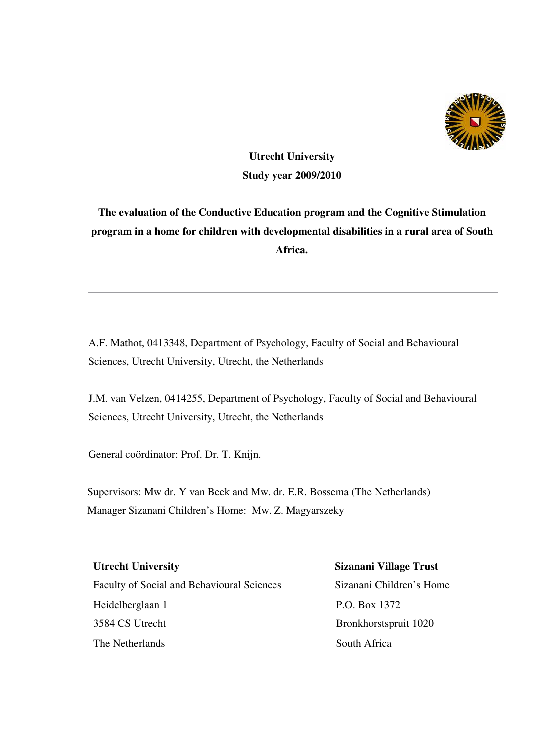

# **Utrecht University Study year 2009/2010**

**The evaluation of the Conductive Education program and the Cognitive Stimulation program in a home for children with developmental disabilities in a rural area of South Africa.** 

A.F. Mathot, 0413348, Department of Psychology, Faculty of Social and Behavioural Sciences, Utrecht University, Utrecht, the Netherlands

J.M. van Velzen, 0414255, Department of Psychology, Faculty of Social and Behavioural Sciences, Utrecht University, Utrecht, the Netherlands

General coördinator: Prof. Dr. T. Knijn.

Supervisors: Mw dr. Y van Beek and Mw. dr. E.R. Bossema (The Netherlands) Manager Sizanani Children's Home: Mw. Z. Magyarszeky

Faculty of Social and Behavioural Sciences Sizanani Children's Home Heidelberglaan 1 P.O. Box 1372 3584 CS Utrecht Bronkhorstspruit 1020 The Netherlands South Africa

# **Utrecht University Sizanani Village Trust**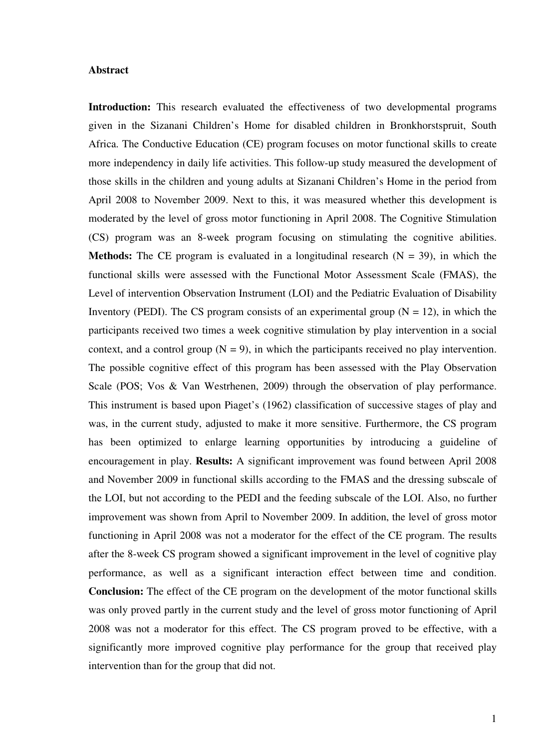#### **Abstract**

**Introduction:** This research evaluated the effectiveness of two developmental programs given in the Sizanani Children's Home for disabled children in Bronkhorstspruit, South Africa. The Conductive Education (CE) program focuses on motor functional skills to create more independency in daily life activities. This follow-up study measured the development of those skills in the children and young adults at Sizanani Children's Home in the period from April 2008 to November 2009. Next to this, it was measured whether this development is moderated by the level of gross motor functioning in April 2008. The Cognitive Stimulation (CS) program was an 8-week program focusing on stimulating the cognitive abilities. **Methods:** The CE program is evaluated in a longitudinal research  $(N = 39)$ , in which the functional skills were assessed with the Functional Motor Assessment Scale (FMAS), the Level of intervention Observation Instrument (LOI) and the Pediatric Evaluation of Disability Inventory (PEDI). The CS program consists of an experimental group ( $N = 12$ ), in which the participants received two times a week cognitive stimulation by play intervention in a social context, and a control group  $(N = 9)$ , in which the participants received no play intervention. The possible cognitive effect of this program has been assessed with the Play Observation Scale (POS; Vos & Van Westrhenen, 2009) through the observation of play performance. This instrument is based upon Piaget's (1962) classification of successive stages of play and was, in the current study, adjusted to make it more sensitive. Furthermore, the CS program has been optimized to enlarge learning opportunities by introducing a guideline of encouragement in play. **Results:** A significant improvement was found between April 2008 and November 2009 in functional skills according to the FMAS and the dressing subscale of the LOI, but not according to the PEDI and the feeding subscale of the LOI. Also, no further improvement was shown from April to November 2009. In addition, the level of gross motor functioning in April 2008 was not a moderator for the effect of the CE program. The results after the 8-week CS program showed a significant improvement in the level of cognitive play performance, as well as a significant interaction effect between time and condition. **Conclusion:** The effect of the CE program on the development of the motor functional skills was only proved partly in the current study and the level of gross motor functioning of April 2008 was not a moderator for this effect. The CS program proved to be effective, with a significantly more improved cognitive play performance for the group that received play intervention than for the group that did not.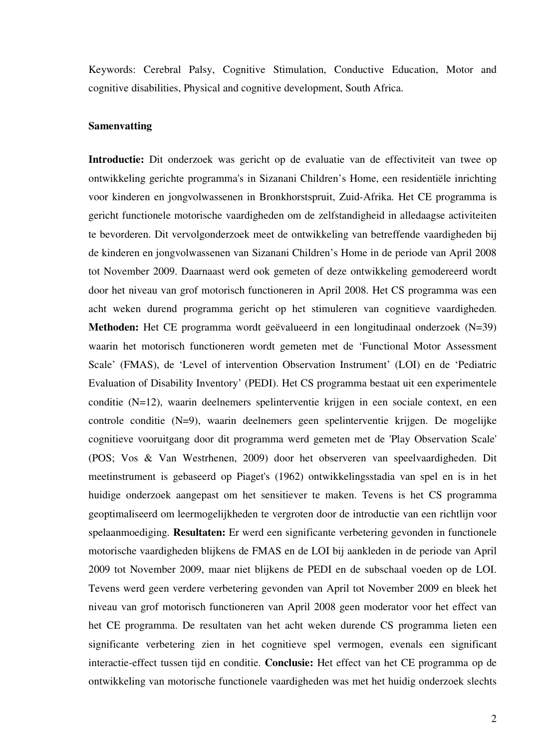Keywords: Cerebral Palsy, Cognitive Stimulation, Conductive Education, Motor and cognitive disabilities, Physical and cognitive development, South Africa.

#### **Samenvatting**

Introductie: Dit onderzoek was gericht op de evaluatie van de effectiviteit van twee op ontwikkeling gerichte programma's in Sizanani Children's Home, een residentiële inrichting voor kinderen en jongvolwassenen in Bronkhorstspruit, Zuid-Afrika. Het CE programma is gericht functionele motorische vaardigheden om de zelfstandigheid in alledaagse activiteiten te bevorderen. Dit vervolgonderzoek meet de ontwikkeling van betreffende vaardigheden bij de kinderen en jongvolwassenen van Sizanani Children's Home in de periode van April 2008 tot November 2009. Daarnaast werd ook gemeten of deze ontwikkeling gemodereerd wordt door het niveau van grof motorisch functioneren in April 2008. Het CS programma was een acht weken durend programma gericht op het stimuleren van cognitieve vaardigheden. **Methoden:** Het CE programma wordt geëvalueerd in een longitudinaal onderzoek (N=39) waarin het motorisch functioneren wordt gemeten met de 'Functional Motor Assessment Scale' (FMAS), de 'Level of intervention Observation Instrument' (LOI) en de 'Pediatric Evaluation of Disability Inventory' (PEDI). Het CS programma bestaat uit een experimentele conditie (N=12), waarin deelnemers spelinterventie krijgen in een sociale context, en een controle conditie (N=9), waarin deelnemers geen spelinterventie krijgen. De mogelijke cognitieve vooruitgang door dit programma werd gemeten met de 'Play Observation Scale' (POS; Vos & Van Westrhenen, 2009) door het observeren van speelvaardigheden. Dit meetinstrument is gebaseerd op Piaget's (1962) ontwikkelingsstadia van spel en is in het huidige onderzoek aangepast om het sensitiever te maken. Tevens is het CS programma geoptimaliseerd om leermogelijkheden te vergroten door de introductie van een richtlijn voor spelaanmoediging. **Resultaten:** Er werd een significante verbetering gevonden in functionele motorische vaardigheden blijkens de FMAS en de LOI bij aankleden in de periode van April 2009 tot November 2009, maar niet blijkens de PEDI en de subschaal voeden op de LOI. Tevens werd geen verdere verbetering gevonden van April tot November 2009 en bleek het niveau van grof motorisch functioneren van April 2008 geen moderator voor het effect van het CE programma. De resultaten van het acht weken durende CS programma lieten een significante verbetering zien in het cognitieve spel vermogen, evenals een significant interactie-effect tussen tijd en conditie. **Conclusie:** Het effect van het CE programma op de ontwikkeling van motorische functionele vaardigheden was met het huidig onderzoek slechts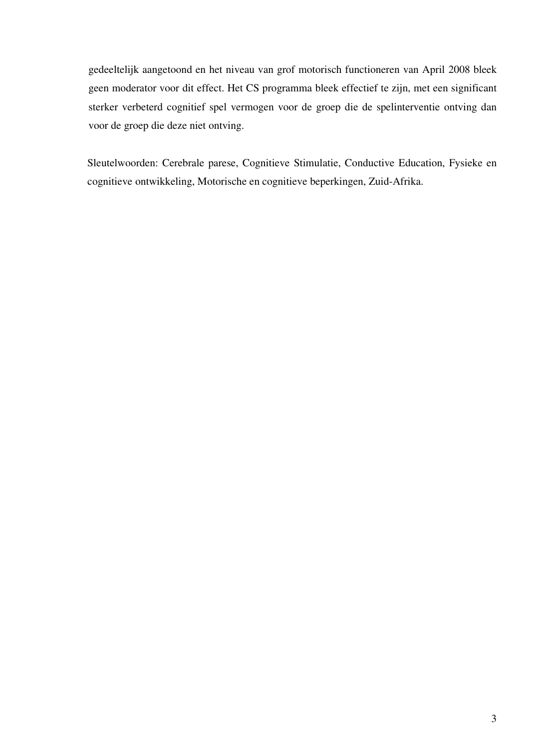gedeeltelijk aangetoond en het niveau van grof motorisch functioneren van April 2008 bleek geen moderator voor dit effect. Het CS programma bleek effectief te zijn, met een significant sterker verbeterd cognitief spel vermogen voor de groep die de spelinterventie ontving dan voor de groep die deze niet ontving.

Sleutelwoorden: Cerebrale parese, Cognitieve Stimulatie, Conductive Education, Fysieke en cognitieve ontwikkeling, Motorische en cognitieve beperkingen, Zuid-Afrika.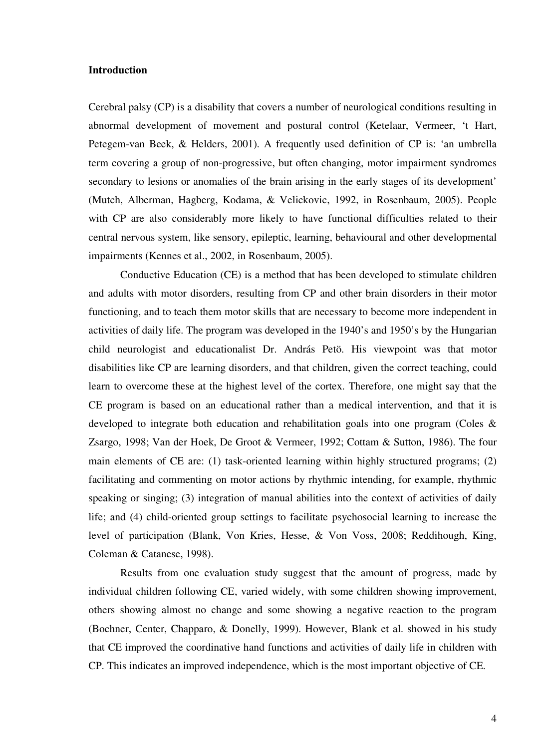#### **Introduction**

Cerebral palsy (CP) is a disability that covers a number of neurological conditions resulting in abnormal development of movement and postural control (Ketelaar, Vermeer, 't Hart, Petegem-van Beek, & Helders, 2001). A frequently used definition of CP is: 'an umbrella term covering a group of non-progressive, but often changing, motor impairment syndromes secondary to lesions or anomalies of the brain arising in the early stages of its development' (Mutch, Alberman, Hagberg, Kodama, & Velickovic, 1992, in Rosenbaum, 2005). People with CP are also considerably more likely to have functional difficulties related to their central nervous system, like sensory, epileptic, learning, behavioural and other developmental impairments (Kennes et al., 2002, in Rosenbaum, 2005).

Conductive Education (CE) is a method that has been developed to stimulate children and adults with motor disorders, resulting from CP and other brain disorders in their motor functioning, and to teach them motor skills that are necessary to become more independent in activities of daily life. The program was developed in the 1940's and 1950's by the Hungarian child neurologist and educationalist Dr. András Petö. His viewpoint was that motor disabilities like CP are learning disorders, and that children, given the correct teaching, could learn to overcome these at the highest level of the cortex. Therefore, one might say that the CE program is based on an educational rather than a medical intervention, and that it is developed to integrate both education and rehabilitation goals into one program (Coles & Zsargo, 1998; Van der Hoek, De Groot & Vermeer, 1992; Cottam & Sutton, 1986). The four main elements of CE are: (1) task-oriented learning within highly structured programs; (2) facilitating and commenting on motor actions by rhythmic intending, for example, rhythmic speaking or singing; (3) integration of manual abilities into the context of activities of daily life; and (4) child-oriented group settings to facilitate psychosocial learning to increase the level of participation (Blank, Von Kries, Hesse, & Von Voss, 2008; Reddihough, King, Coleman & Catanese, 1998).

Results from one evaluation study suggest that the amount of progress, made by individual children following CE, varied widely, with some children showing improvement, others showing almost no change and some showing a negative reaction to the program (Bochner, Center, Chapparo, & Donelly, 1999). However, Blank et al. showed in his study that CE improved the coordinative hand functions and activities of daily life in children with CP. This indicates an improved independence, which is the most important objective of CE.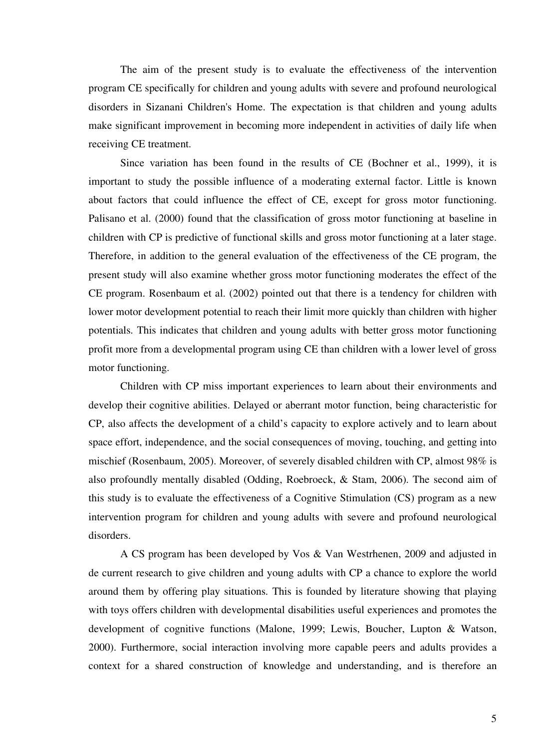The aim of the present study is to evaluate the effectiveness of the intervention program CE specifically for children and young adults with severe and profound neurological disorders in Sizanani Children's Home. The expectation is that children and young adults make significant improvement in becoming more independent in activities of daily life when receiving CE treatment.

Since variation has been found in the results of CE (Bochner et al., 1999), it is important to study the possible influence of a moderating external factor. Little is known about factors that could influence the effect of CE, except for gross motor functioning. Palisano et al. (2000) found that the classification of gross motor functioning at baseline in children with CP is predictive of functional skills and gross motor functioning at a later stage. Therefore, in addition to the general evaluation of the effectiveness of the CE program, the present study will also examine whether gross motor functioning moderates the effect of the CE program. Rosenbaum et al. (2002) pointed out that there is a tendency for children with lower motor development potential to reach their limit more quickly than children with higher potentials. This indicates that children and young adults with better gross motor functioning profit more from a developmental program using CE than children with a lower level of gross motor functioning.

Children with CP miss important experiences to learn about their environments and develop their cognitive abilities. Delayed or aberrant motor function, being characteristic for CP, also affects the development of a child's capacity to explore actively and to learn about space effort, independence, and the social consequences of moving, touching, and getting into mischief (Rosenbaum, 2005). Moreover, of severely disabled children with CP, almost 98% is also profoundly mentally disabled (Odding, Roebroeck, & Stam, 2006). The second aim of this study is to evaluate the effectiveness of a Cognitive Stimulation (CS) program as a new intervention program for children and young adults with severe and profound neurological disorders.

A CS program has been developed by Vos & Van Westrhenen, 2009 and adjusted in de current research to give children and young adults with CP a chance to explore the world around them by offering play situations. This is founded by literature showing that playing with toys offers children with developmental disabilities useful experiences and promotes the development of cognitive functions (Malone, 1999; Lewis, Boucher, Lupton & Watson, 2000). Furthermore, social interaction involving more capable peers and adults provides a context for a shared construction of knowledge and understanding, and is therefore an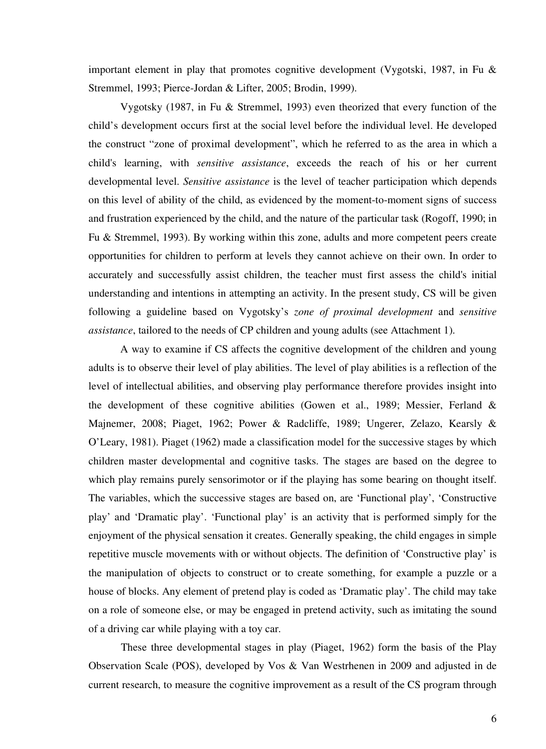important element in play that promotes cognitive development (Vygotski, 1987, in Fu & Stremmel, 1993; Pierce-Jordan & Lifter, 2005; Brodin, 1999).

Vygotsky (1987, in Fu & Stremmel, 1993) even theorized that every function of the child's development occurs first at the social level before the individual level. He developed the construct "zone of proximal development", which he referred to as the area in which a child's learning, with *sensitive assistance*, exceeds the reach of his or her current developmental level. *Sensitive assistance* is the level of teacher participation which depends on this level of ability of the child, as evidenced by the moment-to-moment signs of success and frustration experienced by the child, and the nature of the particular task (Rogoff, 1990; in Fu & Stremmel, 1993). By working within this zone, adults and more competent peers create opportunities for children to perform at levels they cannot achieve on their own. In order to accurately and successfully assist children, the teacher must first assess the child's initial understanding and intentions in attempting an activity. In the present study, CS will be given following a guideline based on Vygotsky's *zone of proximal development* and *sensitive assistance*, tailored to the needs of CP children and young adults (see Attachment 1).

A way to examine if CS affects the cognitive development of the children and young adults is to observe their level of play abilities. The level of play abilities is a reflection of the level of intellectual abilities, and observing play performance therefore provides insight into the development of these cognitive abilities (Gowen et al., 1989; Messier, Ferland & Majnemer, 2008; Piaget, 1962; Power & Radcliffe, 1989; Ungerer, Zelazo, Kearsly & O'Leary, 1981). Piaget (1962) made a classification model for the successive stages by which children master developmental and cognitive tasks. The stages are based on the degree to which play remains purely sensorimotor or if the playing has some bearing on thought itself. The variables, which the successive stages are based on, are 'Functional play', 'Constructive play' and 'Dramatic play'. 'Functional play' is an activity that is performed simply for the enjoyment of the physical sensation it creates. Generally speaking, the child engages in simple repetitive muscle movements with or without objects. The definition of 'Constructive play' is the manipulation of objects to construct or to create something, for example a puzzle or a house of blocks. Any element of pretend play is coded as 'Dramatic play'. The child may take on a role of someone else, or may be engaged in pretend activity, such as imitating the sound of a driving car while playing with a toy car.

These three developmental stages in play (Piaget, 1962) form the basis of the Play Observation Scale (POS), developed by Vos & Van Westrhenen in 2009 and adjusted in de current research, to measure the cognitive improvement as a result of the CS program through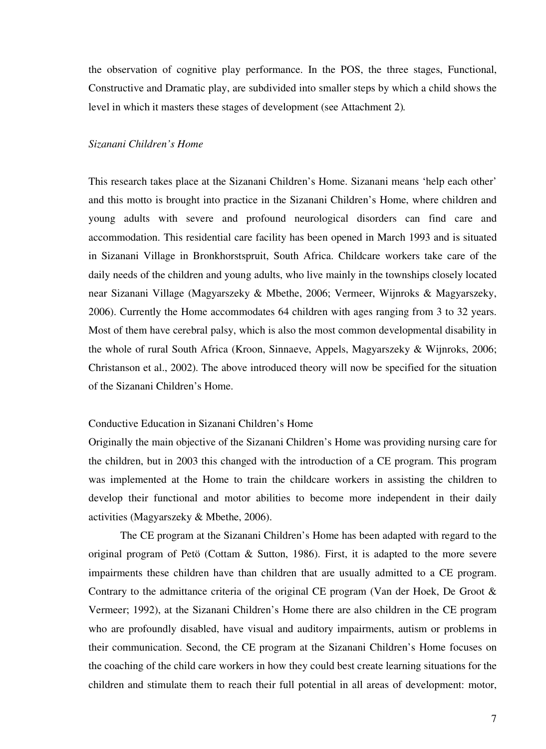the observation of cognitive play performance. In the POS, the three stages, Functional, Constructive and Dramatic play, are subdivided into smaller steps by which a child shows the level in which it masters these stages of development (see Attachment 2)*.* 

#### *Sizanani Children's Home*

This research takes place at the Sizanani Children's Home. Sizanani means 'help each other' and this motto is brought into practice in the Sizanani Children's Home, where children and young adults with severe and profound neurological disorders can find care and accommodation. This residential care facility has been opened in March 1993 and is situated in Sizanani Village in Bronkhorstspruit, South Africa. Childcare workers take care of the daily needs of the children and young adults, who live mainly in the townships closely located near Sizanani Village (Magyarszeky & Mbethe, 2006; Vermeer, Wijnroks & Magyarszeky, 2006). Currently the Home accommodates 64 children with ages ranging from 3 to 32 years. Most of them have cerebral palsy, which is also the most common developmental disability in the whole of rural South Africa (Kroon, Sinnaeve, Appels, Magyarszeky & Wijnroks, 2006; Christanson et al., 2002). The above introduced theory will now be specified for the situation of the Sizanani Children's Home.

#### Conductive Education in Sizanani Children's Home

Originally the main objective of the Sizanani Children's Home was providing nursing care for the children, but in 2003 this changed with the introduction of a CE program. This program was implemented at the Home to train the childcare workers in assisting the children to develop their functional and motor abilities to become more independent in their daily activities (Magyarszeky & Mbethe, 2006).

The CE program at the Sizanani Children's Home has been adapted with regard to the original program of Petö (Cottam & Sutton, 1986). First, it is adapted to the more severe impairments these children have than children that are usually admitted to a CE program. Contrary to the admittance criteria of the original CE program (Van der Hoek, De Groot & Vermeer; 1992), at the Sizanani Children's Home there are also children in the CE program who are profoundly disabled, have visual and auditory impairments, autism or problems in their communication. Second, the CE program at the Sizanani Children's Home focuses on the coaching of the child care workers in how they could best create learning situations for the children and stimulate them to reach their full potential in all areas of development: motor,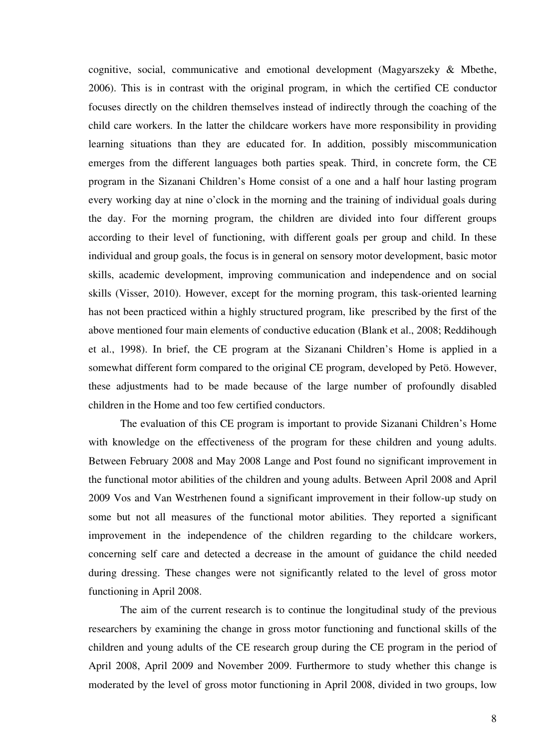cognitive, social, communicative and emotional development (Magyarszeky & Mbethe, 2006). This is in contrast with the original program, in which the certified CE conductor focuses directly on the children themselves instead of indirectly through the coaching of the child care workers. In the latter the childcare workers have more responsibility in providing learning situations than they are educated for. In addition, possibly miscommunication emerges from the different languages both parties speak. Third, in concrete form, the CE program in the Sizanani Children's Home consist of a one and a half hour lasting program every working day at nine o'clock in the morning and the training of individual goals during the day. For the morning program, the children are divided into four different groups according to their level of functioning, with different goals per group and child. In these individual and group goals, the focus is in general on sensory motor development, basic motor skills, academic development, improving communication and independence and on social skills (Visser, 2010). However, except for the morning program, this task-oriented learning has not been practiced within a highly structured program, like prescribed by the first of the above mentioned four main elements of conductive education (Blank et al., 2008; Reddihough et al., 1998). In brief, the CE program at the Sizanani Children's Home is applied in a somewhat different form compared to the original CE program, developed by Petö. However, these adjustments had to be made because of the large number of profoundly disabled children in the Home and too few certified conductors.

 The evaluation of this CE program is important to provide Sizanani Children's Home with knowledge on the effectiveness of the program for these children and young adults. Between February 2008 and May 2008 Lange and Post found no significant improvement in the functional motor abilities of the children and young adults. Between April 2008 and April 2009 Vos and Van Westrhenen found a significant improvement in their follow-up study on some but not all measures of the functional motor abilities. They reported a significant improvement in the independence of the children regarding to the childcare workers, concerning self care and detected a decrease in the amount of guidance the child needed during dressing. These changes were not significantly related to the level of gross motor functioning in April 2008.

The aim of the current research is to continue the longitudinal study of the previous researchers by examining the change in gross motor functioning and functional skills of the children and young adults of the CE research group during the CE program in the period of April 2008, April 2009 and November 2009. Furthermore to study whether this change is moderated by the level of gross motor functioning in April 2008, divided in two groups, low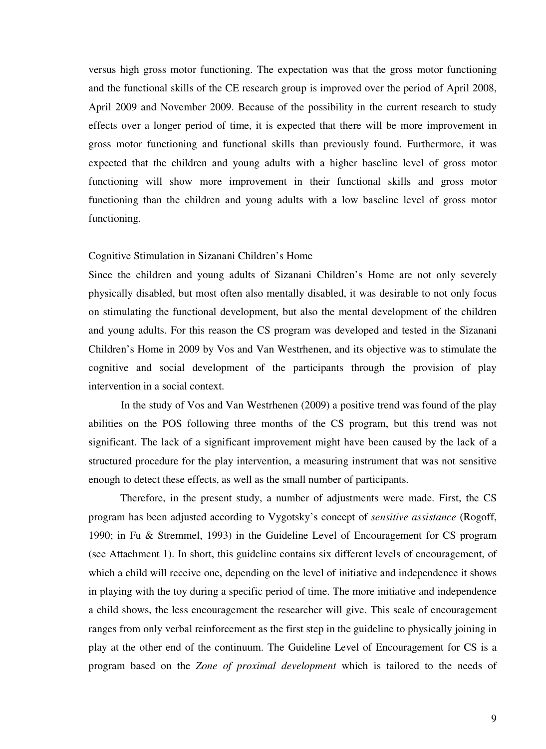versus high gross motor functioning. The expectation was that the gross motor functioning and the functional skills of the CE research group is improved over the period of April 2008, April 2009 and November 2009. Because of the possibility in the current research to study effects over a longer period of time, it is expected that there will be more improvement in gross motor functioning and functional skills than previously found. Furthermore, it was expected that the children and young adults with a higher baseline level of gross motor functioning will show more improvement in their functional skills and gross motor functioning than the children and young adults with a low baseline level of gross motor functioning.

#### Cognitive Stimulation in Sizanani Children's Home

Since the children and young adults of Sizanani Children's Home are not only severely physically disabled, but most often also mentally disabled, it was desirable to not only focus on stimulating the functional development, but also the mental development of the children and young adults. For this reason the CS program was developed and tested in the Sizanani Children's Home in 2009 by Vos and Van Westrhenen, and its objective was to stimulate the cognitive and social development of the participants through the provision of play intervention in a social context.

In the study of Vos and Van Westrhenen (2009) a positive trend was found of the play abilities on the POS following three months of the CS program, but this trend was not significant. The lack of a significant improvement might have been caused by the lack of a structured procedure for the play intervention, a measuring instrument that was not sensitive enough to detect these effects, as well as the small number of participants.

Therefore, in the present study, a number of adjustments were made. First, the CS program has been adjusted according to Vygotsky's concept of *sensitive assistance* (Rogoff, 1990; in Fu & Stremmel, 1993) in the Guideline Level of Encouragement for CS program (see Attachment 1). In short, this guideline contains six different levels of encouragement, of which a child will receive one, depending on the level of initiative and independence it shows in playing with the toy during a specific period of time. The more initiative and independence a child shows, the less encouragement the researcher will give. This scale of encouragement ranges from only verbal reinforcement as the first step in the guideline to physically joining in play at the other end of the continuum. The Guideline Level of Encouragement for CS is a program based on the *Zone of proximal development* which is tailored to the needs of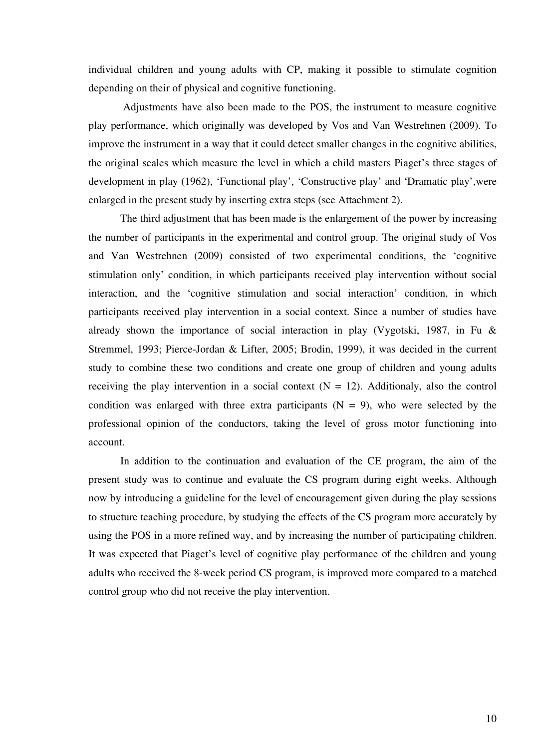individual children and young adults with CP, making it possible to stimulate cognition depending on their of physical and cognitive functioning.

 Adjustments have also been made to the POS, the instrument to measure cognitive play performance, which originally was developed by Vos and Van Westrehnen (2009). To improve the instrument in a way that it could detect smaller changes in the cognitive abilities, the original scales which measure the level in which a child masters Piaget's three stages of development in play (1962), 'Functional play', 'Constructive play' and 'Dramatic play',were enlarged in the present study by inserting extra steps (see Attachment 2).

The third adjustment that has been made is the enlargement of the power by increasing the number of participants in the experimental and control group. The original study of Vos and Van Westrehnen (2009) consisted of two experimental conditions, the 'cognitive stimulation only' condition, in which participants received play intervention without social interaction, and the 'cognitive stimulation and social interaction' condition, in which participants received play intervention in a social context. Since a number of studies have already shown the importance of social interaction in play (Vygotski, 1987, in Fu & Stremmel, 1993; Pierce-Jordan & Lifter, 2005; Brodin, 1999), it was decided in the current study to combine these two conditions and create one group of children and young adults receiving the play intervention in a social context  $(N = 12)$ . Additionaly, also the control condition was enlarged with three extra participants  $(N = 9)$ , who were selected by the professional opinion of the conductors, taking the level of gross motor functioning into account.

In addition to the continuation and evaluation of the CE program, the aim of the present study was to continue and evaluate the CS program during eight weeks. Although now by introducing a guideline for the level of encouragement given during the play sessions to structure teaching procedure, by studying the effects of the CS program more accurately by using the POS in a more refined way, and by increasing the number of participating children. It was expected that Piaget's level of cognitive play performance of the children and young adults who received the 8-week period CS program, is improved more compared to a matched control group who did not receive the play intervention.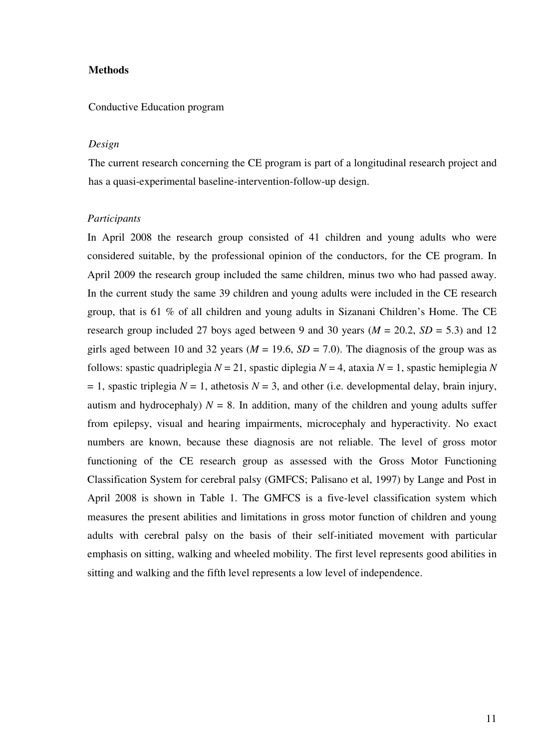#### **Methods**

#### Conductive Education program

#### *Design*

The current research concerning the CE program is part of a longitudinal research project and has a quasi-experimental baseline-intervention-follow-up design.

#### *Participants*

In April 2008 the research group consisted of 41 children and young adults who were considered suitable, by the professional opinion of the conductors, for the CE program. In April 2009 the research group included the same children, minus two who had passed away. In the current study the same 39 children and young adults were included in the CE research group, that is 61 % of all children and young adults in Sizanani Children's Home. The CE research group included 27 boys aged between 9 and 30 years ( $M = 20.2$ ,  $SD = 5.3$ ) and 12 girls aged between 10 and 32 years ( $M = 19.6$ ,  $SD = 7.0$ ). The diagnosis of the group was as follows: spastic quadriplegia *N* = 21, spastic diplegia *N* = 4, ataxia *N* = 1, spastic hemiplegia *N*  $= 1$ , spastic triplegia  $N = 1$ , athetosis  $N = 3$ , and other (i.e. developmental delay, brain injury, autism and hydrocephaly)  $N = 8$ . In addition, many of the children and young adults suffer from epilepsy, visual and hearing impairments, microcephaly and hyperactivity. No exact numbers are known, because these diagnosis are not reliable. The level of gross motor functioning of the CE research group as assessed with the Gross Motor Functioning Classification System for cerebral palsy (GMFCS; Palisano et al, 1997) by Lange and Post in April 2008 is shown in Table 1. The GMFCS is a five-level classification system which measures the present abilities and limitations in gross motor function of children and young adults with cerebral palsy on the basis of their self-initiated movement with particular emphasis on sitting, walking and wheeled mobility. The first level represents good abilities in sitting and walking and the fifth level represents a low level of independence.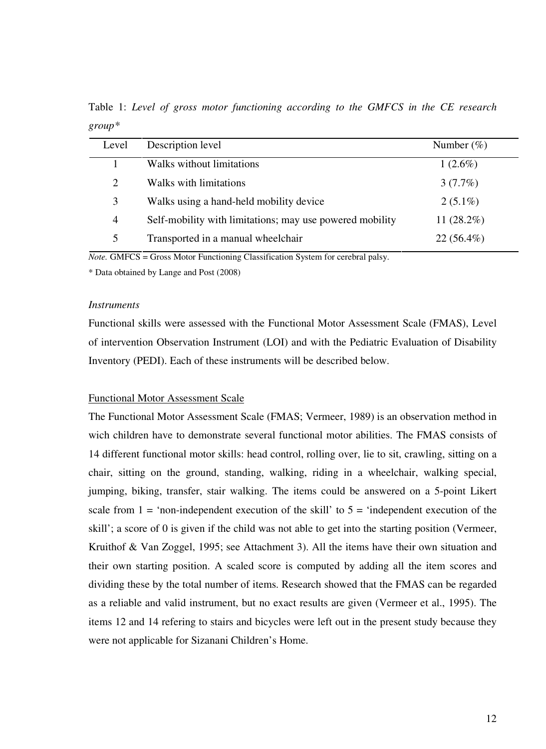Table 1: *Level of gross motor functioning according to the GMFCS in the CE research group\** 

| Level          | Description level                                        | Number $(\%)$ |
|----------------|----------------------------------------------------------|---------------|
|                | Walks without limitations                                | $1(2.6\%)$    |
| 2              | Walks with limitations                                   | 3(7.7%)       |
| 3              | Walks using a hand-held mobility device                  | $2(5.1\%)$    |
| $\overline{4}$ | Self-mobility with limitations; may use powered mobility | 11 $(28.2\%)$ |
| 5              | Transported in a manual wheelchair                       | $22(56.4\%)$  |
|                |                                                          |               |

*Note.* GMFCS = Gross Motor Functioning Classification System for cerebral palsy.

\* Data obtained by Lange and Post (2008)

#### *Instruments*

Functional skills were assessed with the Functional Motor Assessment Scale (FMAS), Level of intervention Observation Instrument (LOI) and with the Pediatric Evaluation of Disability Inventory (PEDI). Each of these instruments will be described below.

#### Functional Motor Assessment Scale

The Functional Motor Assessment Scale (FMAS; Vermeer, 1989) is an observation method in wich children have to demonstrate several functional motor abilities. The FMAS consists of 14 different functional motor skills: head control, rolling over, lie to sit, crawling, sitting on a chair, sitting on the ground, standing, walking, riding in a wheelchair, walking special, jumping, biking, transfer, stair walking. The items could be answered on a 5-point Likert scale from  $1 = \text{`non-independent execution of the skill' to } 5 = \text{`independent execution of the}$ skill'; a score of 0 is given if the child was not able to get into the starting position (Vermeer, Kruithof & Van Zoggel, 1995; see Attachment 3). All the items have their own situation and their own starting position. A scaled score is computed by adding all the item scores and dividing these by the total number of items. Research showed that the FMAS can be regarded as a reliable and valid instrument, but no exact results are given (Vermeer et al., 1995). The items 12 and 14 refering to stairs and bicycles were left out in the present study because they were not applicable for Sizanani Children's Home.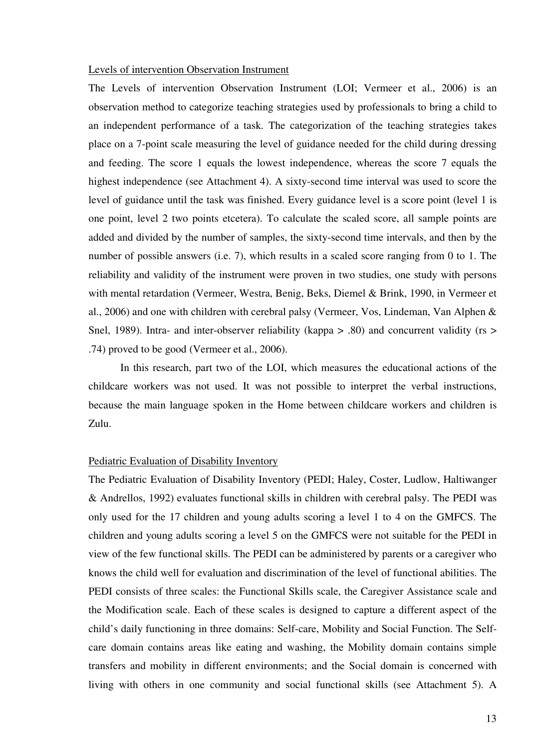#### Levels of intervention Observation Instrument

The Levels of intervention Observation Instrument (LOI; Vermeer et al., 2006) is an observation method to categorize teaching strategies used by professionals to bring a child to an independent performance of a task. The categorization of the teaching strategies takes place on a 7-point scale measuring the level of guidance needed for the child during dressing and feeding. The score 1 equals the lowest independence, whereas the score 7 equals the highest independence (see Attachment 4). A sixty-second time interval was used to score the level of guidance until the task was finished. Every guidance level is a score point (level 1 is one point, level 2 two points etcetera). To calculate the scaled score, all sample points are added and divided by the number of samples, the sixty-second time intervals, and then by the number of possible answers (i.e. 7), which results in a scaled score ranging from 0 to 1. The reliability and validity of the instrument were proven in two studies, one study with persons with mental retardation (Vermeer, Westra, Benig, Beks, Diemel & Brink, 1990, in Vermeer et al., 2006) and one with children with cerebral palsy (Vermeer, Vos, Lindeman, Van Alphen & Snel, 1989). Intra- and inter-observer reliability (kappa  $> 0.80$ ) and concurrent validity (rs  $> 0.80$ ) .74) proved to be good (Vermeer et al., 2006).

 In this research, part two of the LOI, which measures the educational actions of the childcare workers was not used. It was not possible to interpret the verbal instructions, because the main language spoken in the Home between childcare workers and children is Zulu.

#### Pediatric Evaluation of Disability Inventory

The Pediatric Evaluation of Disability Inventory (PEDI; Haley, Coster, Ludlow, Haltiwanger & Andrellos, 1992) evaluates functional skills in children with cerebral palsy. The PEDI was only used for the 17 children and young adults scoring a level 1 to 4 on the GMFCS. The children and young adults scoring a level 5 on the GMFCS were not suitable for the PEDI in view of the few functional skills. The PEDI can be administered by parents or a caregiver who knows the child well for evaluation and discrimination of the level of functional abilities. The PEDI consists of three scales: the Functional Skills scale, the Caregiver Assistance scale and the Modification scale. Each of these scales is designed to capture a different aspect of the child's daily functioning in three domains: Self-care, Mobility and Social Function. The Selfcare domain contains areas like eating and washing, the Mobility domain contains simple transfers and mobility in different environments; and the Social domain is concerned with living with others in one community and social functional skills (see Attachment 5). A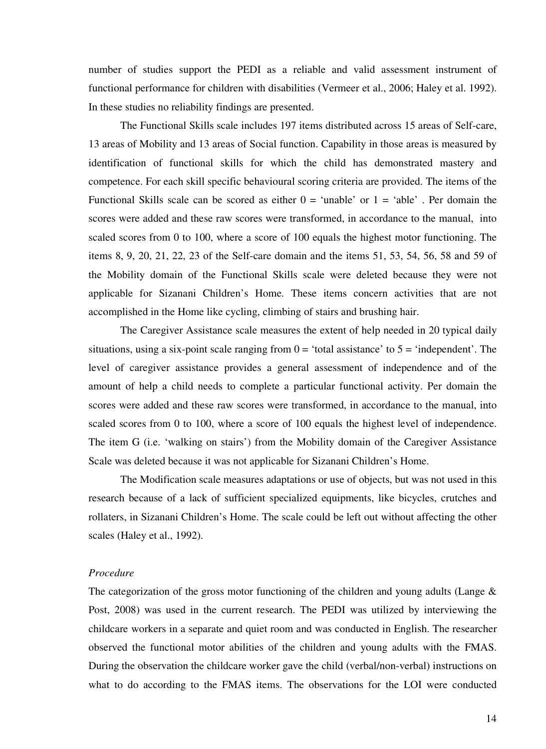number of studies support the PEDI as a reliable and valid assessment instrument of functional performance for children with disabilities (Vermeer et al., 2006; Haley et al. 1992). In these studies no reliability findings are presented.

 The Functional Skills scale includes 197 items distributed across 15 areas of Self-care, 13 areas of Mobility and 13 areas of Social function. Capability in those areas is measured by identification of functional skills for which the child has demonstrated mastery and competence. For each skill specific behavioural scoring criteria are provided. The items of the Functional Skills scale can be scored as either  $0 = \text{`unable'}$  or  $1 = \text{`able'}$ . Per domain the scores were added and these raw scores were transformed, in accordance to the manual, into scaled scores from 0 to 100, where a score of 100 equals the highest motor functioning. The items 8, 9, 20, 21, 22, 23 of the Self-care domain and the items 51, 53, 54, 56, 58 and 59 of the Mobility domain of the Functional Skills scale were deleted because they were not applicable for Sizanani Children's Home. These items concern activities that are not accomplished in the Home like cycling, climbing of stairs and brushing hair.

 The Caregiver Assistance scale measures the extent of help needed in 20 typical daily situations, using a six-point scale ranging from  $0 =$  'total assistance' to  $5 =$  'independent'. The level of caregiver assistance provides a general assessment of independence and of the amount of help a child needs to complete a particular functional activity. Per domain the scores were added and these raw scores were transformed, in accordance to the manual, into scaled scores from 0 to 100, where a score of 100 equals the highest level of independence. The item G (i.e. 'walking on stairs') from the Mobility domain of the Caregiver Assistance Scale was deleted because it was not applicable for Sizanani Children's Home.

 The Modification scale measures adaptations or use of objects, but was not used in this research because of a lack of sufficient specialized equipments, like bicycles, crutches and rollaters, in Sizanani Children's Home. The scale could be left out without affecting the other scales (Haley et al., 1992).

#### *Procedure*

The categorization of the gross motor functioning of the children and young adults (Lange  $\&$ Post, 2008) was used in the current research. The PEDI was utilized by interviewing the childcare workers in a separate and quiet room and was conducted in English. The researcher observed the functional motor abilities of the children and young adults with the FMAS. During the observation the childcare worker gave the child (verbal/non-verbal) instructions on what to do according to the FMAS items. The observations for the LOI were conducted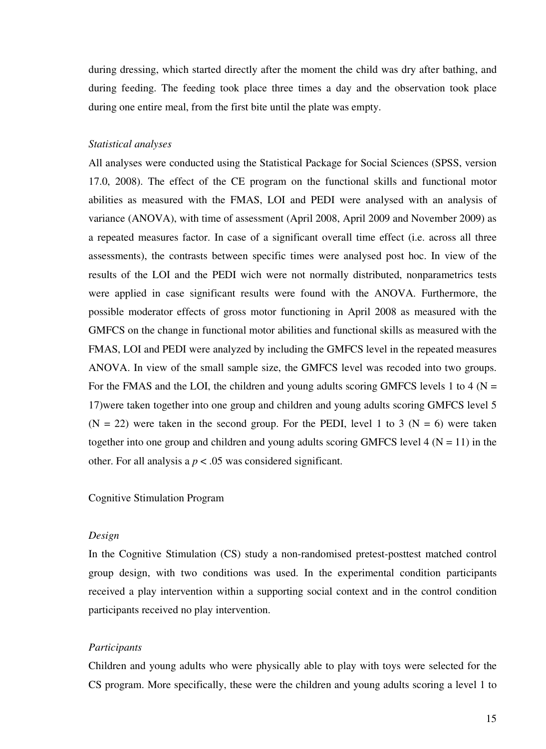during dressing, which started directly after the moment the child was dry after bathing, and during feeding. The feeding took place three times a day and the observation took place during one entire meal, from the first bite until the plate was empty.

#### *Statistical analyses*

All analyses were conducted using the Statistical Package for Social Sciences (SPSS, version 17.0, 2008). The effect of the CE program on the functional skills and functional motor abilities as measured with the FMAS, LOI and PEDI were analysed with an analysis of variance (ANOVA), with time of assessment (April 2008, April 2009 and November 2009) as a repeated measures factor. In case of a significant overall time effect (i.e. across all three assessments), the contrasts between specific times were analysed post hoc. In view of the results of the LOI and the PEDI wich were not normally distributed, nonparametrics tests were applied in case significant results were found with the ANOVA. Furthermore, the possible moderator effects of gross motor functioning in April 2008 as measured with the GMFCS on the change in functional motor abilities and functional skills as measured with the FMAS, LOI and PEDI were analyzed by including the GMFCS level in the repeated measures ANOVA. In view of the small sample size, the GMFCS level was recoded into two groups. For the FMAS and the LOI, the children and young adults scoring GMFCS levels 1 to 4 ( $N =$ 17)were taken together into one group and children and young adults scoring GMFCS level 5  $(N = 22)$  were taken in the second group. For the PEDI, level 1 to 3 ( $N = 6$ ) were taken together into one group and children and young adults scoring GMFCS level  $4 (N = 11)$  in the other. For all analysis a *p* < .05 was considered significant.

#### Cognitive Stimulation Program

#### *Design*

In the Cognitive Stimulation (CS) study a non-randomised pretest-posttest matched control group design, with two conditions was used. In the experimental condition participants received a play intervention within a supporting social context and in the control condition participants received no play intervention.

#### *Participants*

Children and young adults who were physically able to play with toys were selected for the CS program. More specifically, these were the children and young adults scoring a level 1 to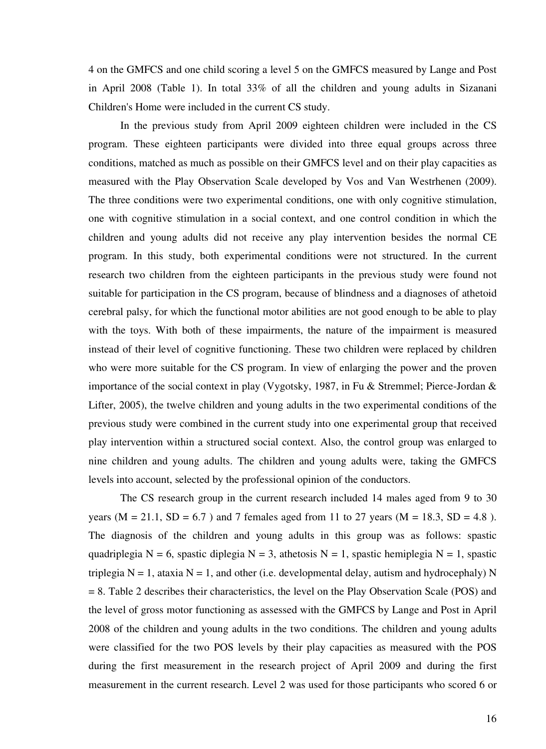4 on the GMFCS and one child scoring a level 5 on the GMFCS measured by Lange and Post in April 2008 (Table 1). In total 33% of all the children and young adults in Sizanani Children's Home were included in the current CS study.

 In the previous study from April 2009 eighteen children were included in the CS program. These eighteen participants were divided into three equal groups across three conditions, matched as much as possible on their GMFCS level and on their play capacities as measured with the Play Observation Scale developed by Vos and Van Westrhenen (2009). The three conditions were two experimental conditions, one with only cognitive stimulation, one with cognitive stimulation in a social context, and one control condition in which the children and young adults did not receive any play intervention besides the normal CE program. In this study, both experimental conditions were not structured. In the current research two children from the eighteen participants in the previous study were found not suitable for participation in the CS program, because of blindness and a diagnoses of athetoid cerebral palsy, for which the functional motor abilities are not good enough to be able to play with the toys. With both of these impairments, the nature of the impairment is measured instead of their level of cognitive functioning. These two children were replaced by children who were more suitable for the CS program. In view of enlarging the power and the proven importance of the social context in play (Vygotsky, 1987, in Fu & Stremmel; Pierce-Jordan & Lifter, 2005), the twelve children and young adults in the two experimental conditions of the previous study were combined in the current study into one experimental group that received play intervention within a structured social context. Also, the control group was enlarged to nine children and young adults. The children and young adults were, taking the GMFCS levels into account, selected by the professional opinion of the conductors.

The CS research group in the current research included 14 males aged from 9 to 30 years ( $M = 21.1$ ,  $SD = 6.7$ ) and 7 females aged from 11 to 27 years ( $M = 18.3$ ,  $SD = 4.8$ ). The diagnosis of the children and young adults in this group was as follows: spastic quadriplegia N = 6, spastic diplegia N = 3, athetosis N = 1, spastic hemiplegia N = 1, spastic triplegia  $N = 1$ , ataxia  $N = 1$ , and other (i.e. developmental delay, autism and hydrocephaly) N = 8. Table 2 describes their characteristics, the level on the Play Observation Scale (POS) and the level of gross motor functioning as assessed with the GMFCS by Lange and Post in April 2008 of the children and young adults in the two conditions. The children and young adults were classified for the two POS levels by their play capacities as measured with the POS during the first measurement in the research project of April 2009 and during the first measurement in the current research. Level 2 was used for those participants who scored 6 or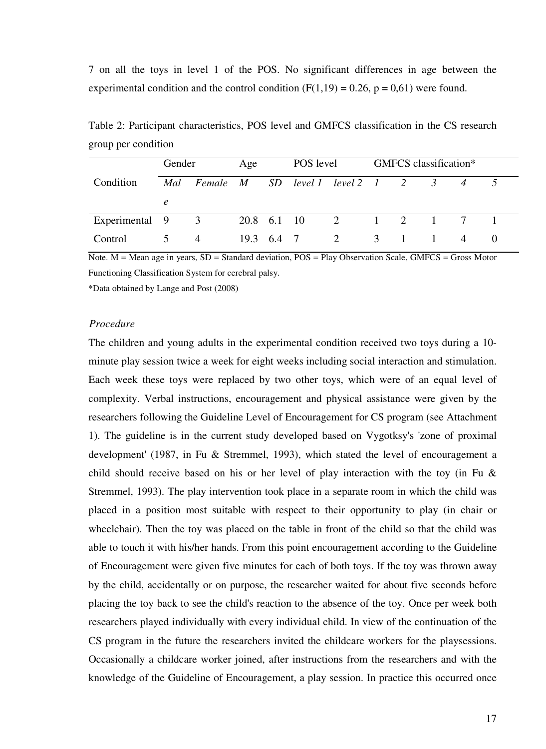7 on all the toys in level 1 of the POS. No significant differences in age between the experimental condition and the control condition  $(F(1,19) = 0.26, p = 0.61)$  were found.

|                  | Gender        |                | Age        |  | POS level |                          | GMFCS classification* |  |  |                |  |
|------------------|---------------|----------------|------------|--|-----------|--------------------------|-----------------------|--|--|----------------|--|
| Condition        | Mal           | Female M       |            |  |           | SD level 1 level 2 1 2 3 |                       |  |  | $\overline{4}$ |  |
|                  | $\epsilon$    |                |            |  |           |                          |                       |  |  |                |  |
| Experimental 9 3 |               |                |            |  |           | 20.8 6.1 10 2 1 2 1      |                       |  |  |                |  |
| Control          | $\mathcal{D}$ | $\overline{4}$ | 19.3 6.4 7 |  |           | 2                        | 3                     |  |  | $\overline{4}$ |  |

Table 2: Participant characteristics, POS level and GMFCS classification in the CS research group per condition

Note. M = Mean age in years, SD = Standard deviation, POS = Play Observation Scale, GMFCS = Gross Motor Functioning Classification System for cerebral palsy.

\*Data obtained by Lange and Post (2008)

#### *Procedure*

The children and young adults in the experimental condition received two toys during a 10 minute play session twice a week for eight weeks including social interaction and stimulation. Each week these toys were replaced by two other toys, which were of an equal level of complexity. Verbal instructions, encouragement and physical assistance were given by the researchers following the Guideline Level of Encouragement for CS program (see Attachment 1). The guideline is in the current study developed based on Vygotksy's 'zone of proximal development' (1987, in Fu & Stremmel, 1993), which stated the level of encouragement a child should receive based on his or her level of play interaction with the toy (in Fu  $\&$ Stremmel, 1993). The play intervention took place in a separate room in which the child was placed in a position most suitable with respect to their opportunity to play (in chair or wheelchair). Then the toy was placed on the table in front of the child so that the child was able to touch it with his/her hands. From this point encouragement according to the Guideline of Encouragement were given five minutes for each of both toys. If the toy was thrown away by the child, accidentally or on purpose, the researcher waited for about five seconds before placing the toy back to see the child's reaction to the absence of the toy. Once per week both researchers played individually with every individual child. In view of the continuation of the CS program in the future the researchers invited the childcare workers for the playsessions. Occasionally a childcare worker joined, after instructions from the researchers and with the knowledge of the Guideline of Encouragement, a play session. In practice this occurred once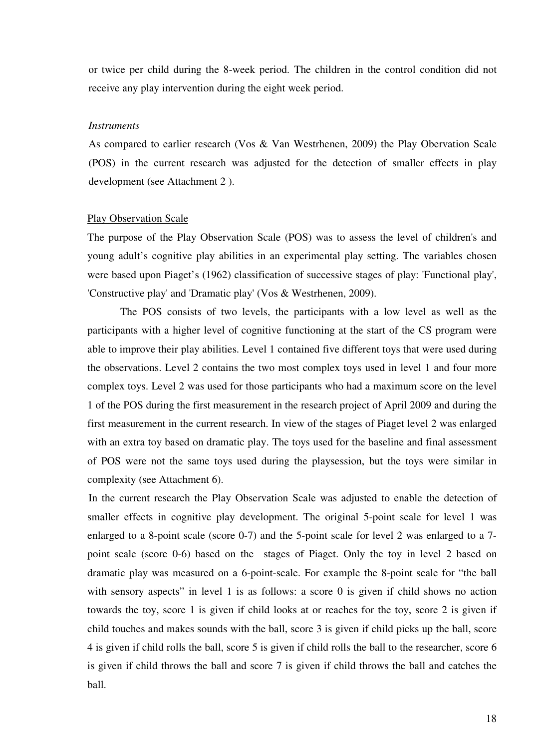or twice per child during the 8-week period. The children in the control condition did not receive any play intervention during the eight week period.

#### *Instruments*

As compared to earlier research (Vos & Van Westrhenen, 2009) the Play Obervation Scale (POS) in the current research was adjusted for the detection of smaller effects in play development (see Attachment 2 ).

#### Play Observation Scale

The purpose of the Play Observation Scale (POS) was to assess the level of children's and young adult's cognitive play abilities in an experimental play setting. The variables chosen were based upon Piaget's (1962) classification of successive stages of play: 'Functional play', 'Constructive play' and 'Dramatic play' (Vos & Westrhenen, 2009).

The POS consists of two levels, the participants with a low level as well as the participants with a higher level of cognitive functioning at the start of the CS program were able to improve their play abilities. Level 1 contained five different toys that were used during the observations. Level 2 contains the two most complex toys used in level 1 and four more complex toys. Level 2 was used for those participants who had a maximum score on the level 1 of the POS during the first measurement in the research project of April 2009 and during the first measurement in the current research. In view of the stages of Piaget level 2 was enlarged with an extra toy based on dramatic play. The toys used for the baseline and final assessment of POS were not the same toys used during the playsession, but the toys were similar in complexity (see Attachment 6).

In the current research the Play Observation Scale was adjusted to enable the detection of smaller effects in cognitive play development. The original 5-point scale for level 1 was enlarged to a 8-point scale (score 0-7) and the 5-point scale for level 2 was enlarged to a 7 point scale (score 0-6) based on the stages of Piaget. Only the toy in level 2 based on dramatic play was measured on a 6-point-scale. For example the 8-point scale for "the ball with sensory aspects" in level 1 is as follows: a score 0 is given if child shows no action towards the toy, score 1 is given if child looks at or reaches for the toy, score 2 is given if child touches and makes sounds with the ball, score 3 is given if child picks up the ball, score 4 is given if child rolls the ball, score 5 is given if child rolls the ball to the researcher, score 6 is given if child throws the ball and score 7 is given if child throws the ball and catches the ball.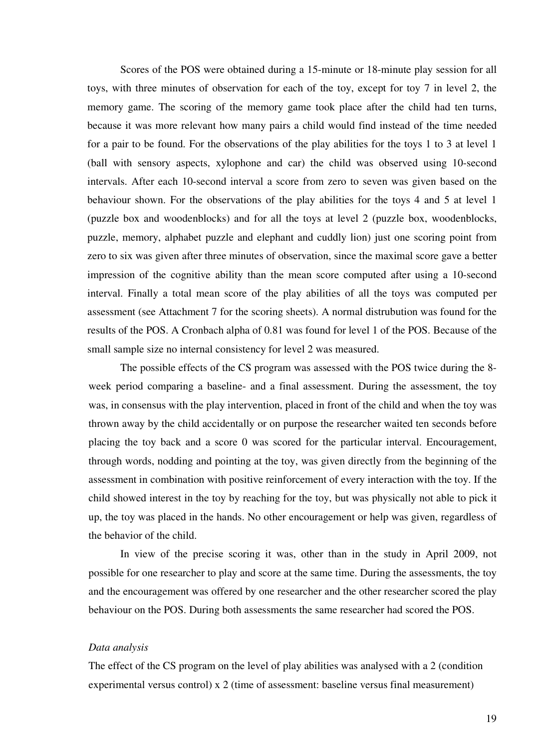Scores of the POS were obtained during a 15-minute or 18-minute play session for all toys, with three minutes of observation for each of the toy, except for toy 7 in level 2, the memory game. The scoring of the memory game took place after the child had ten turns, because it was more relevant how many pairs a child would find instead of the time needed for a pair to be found. For the observations of the play abilities for the toys 1 to 3 at level 1 (ball with sensory aspects, xylophone and car) the child was observed using 10-second intervals. After each 10-second interval a score from zero to seven was given based on the behaviour shown. For the observations of the play abilities for the toys 4 and 5 at level 1 (puzzle box and woodenblocks) and for all the toys at level 2 (puzzle box, woodenblocks, puzzle, memory, alphabet puzzle and elephant and cuddly lion) just one scoring point from zero to six was given after three minutes of observation, since the maximal score gave a better impression of the cognitive ability than the mean score computed after using a 10-second interval. Finally a total mean score of the play abilities of all the toys was computed per assessment (see Attachment 7 for the scoring sheets). A normal distrubution was found for the results of the POS. A Cronbach alpha of 0.81 was found for level 1 of the POS. Because of the small sample size no internal consistency for level 2 was measured.

The possible effects of the CS program was assessed with the POS twice during the 8 week period comparing a baseline- and a final assessment. During the assessment, the toy was, in consensus with the play intervention, placed in front of the child and when the toy was thrown away by the child accidentally or on purpose the researcher waited ten seconds before placing the toy back and a score 0 was scored for the particular interval. Encouragement, through words, nodding and pointing at the toy, was given directly from the beginning of the assessment in combination with positive reinforcement of every interaction with the toy. If the child showed interest in the toy by reaching for the toy, but was physically not able to pick it up, the toy was placed in the hands. No other encouragement or help was given, regardless of the behavior of the child.

In view of the precise scoring it was, other than in the study in April 2009, not possible for one researcher to play and score at the same time. During the assessments, the toy and the encouragement was offered by one researcher and the other researcher scored the play behaviour on the POS. During both assessments the same researcher had scored the POS.

#### *Data analysis*

The effect of the CS program on the level of play abilities was analysed with a 2 (condition experimental versus control) x 2 (time of assessment: baseline versus final measurement)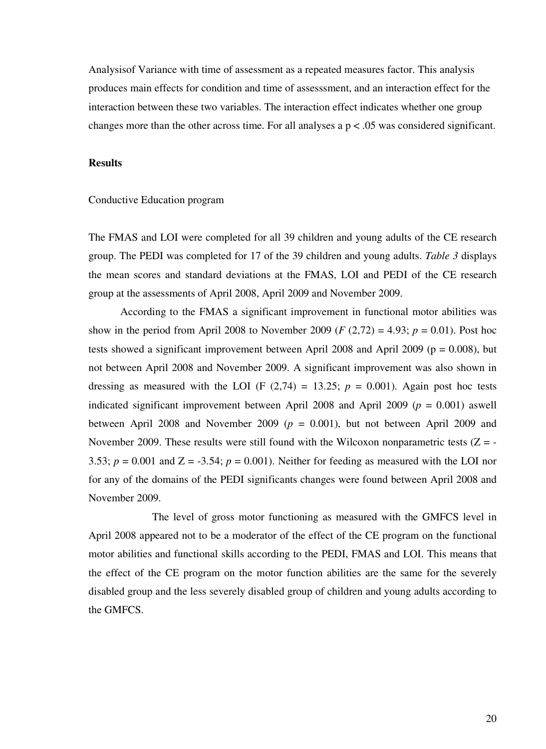Analysisof Variance with time of assessment as a repeated measures factor. This analysis produces main effects for condition and time of assesssment, and an interaction effect for the interaction between these two variables. The interaction effect indicates whether one group changes more than the other across time. For all analyses a  $p < .05$  was considered significant.

#### **Results**

#### Conductive Education program

The FMAS and LOI were completed for all 39 children and young adults of the CE research group. The PEDI was completed for 17 of the 39 children and young adults. *Table 3* displays the mean scores and standard deviations at the FMAS, LOI and PEDI of the CE research group at the assessments of April 2008, April 2009 and November 2009.

According to the FMAS a significant improvement in functional motor abilities was show in the period from April 2008 to November 2009 ( $F(2,72) = 4.93$ ;  $p = 0.01$ ). Post hoc tests showed a significant improvement between April 2008 and April 2009 ( $p = 0.008$ ), but not between April 2008 and November 2009. A significant improvement was also shown in dressing as measured with the LOI (F  $(2,74) = 13.25$ ;  $p = 0.001$ ). Again post hoc tests indicated significant improvement between April 2008 and April 2009 ( $p = 0.001$ ) aswell between April 2008 and November 2009 ( $p = 0.001$ ), but not between April 2009 and November 2009. These results were still found with the Wilcoxon nonparametric tests  $(Z = -1)$ 3.53;  $p = 0.001$  and  $Z = -3.54$ ;  $p = 0.001$ ). Neither for feeding as measured with the LOI nor for any of the domains of the PEDI significants changes were found between April 2008 and November 2009.

 The level of gross motor functioning as measured with the GMFCS level in April 2008 appeared not to be a moderator of the effect of the CE program on the functional motor abilities and functional skills according to the PEDI, FMAS and LOI. This means that the effect of the CE program on the motor function abilities are the same for the severely disabled group and the less severely disabled group of children and young adults according to the GMFCS.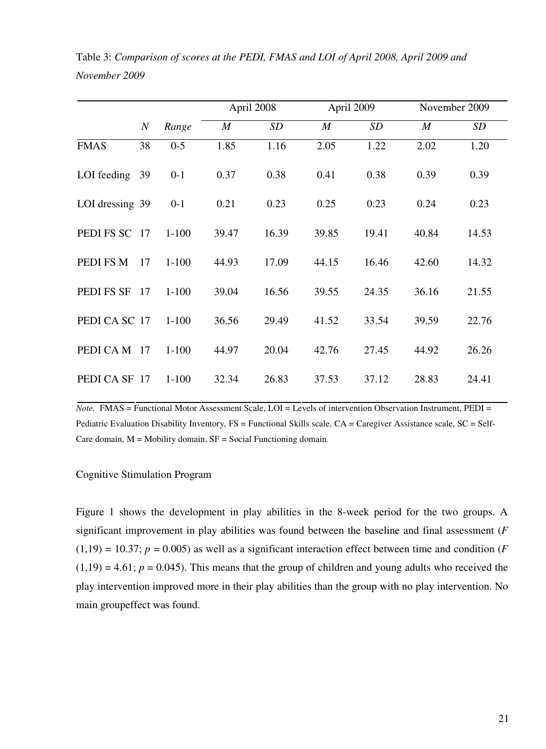|                 |                  |           |                  | April 2008 |                  | April 2009 |                  | November 2009 |
|-----------------|------------------|-----------|------------------|------------|------------------|------------|------------------|---------------|
|                 | $\boldsymbol{N}$ | Range     | $\boldsymbol{M}$ | <b>SD</b>  | $\boldsymbol{M}$ | <b>SD</b>  | $\boldsymbol{M}$ | SD            |
| <b>FMAS</b>     | 38               | $0 - 5$   | 1.85             | 1.16       | 2.05             | 1.22       | 2.02             | 1.20          |
| LOI feeding     | 39               | $0 - 1$   | 0.37             | 0.38       | 0.41             | 0.38       | 0.39             | 0.39          |
| LOI dressing 39 |                  | $0 - 1$   | 0.21             | 0.23       | 0.25             | 0.23       | 0.24             | 0.23          |
| PEDI FS SC      | 17               | $1 - 100$ | 39.47            | 16.39      | 39.85            | 19.41      | 40.84            | 14.53         |
| PEDI FS M       | 17               | $1 - 100$ | 44.93            | 17.09      | 44.15            | 16.46      | 42.60            | 14.32         |
| PEDI FS SF      | 17               | $1 - 100$ | 39.04            | 16.56      | 39.55            | 24.35      | 36.16            | 21.55         |
| PEDICA SC 17    |                  | $1 - 100$ | 36.56            | 29.49      | 41.52            | 33.54      | 39.59            | 22.76         |
| PEDI CA M       | 17               | $1 - 100$ | 44.97            | 20.04      | 42.76            | 27.45      | 44.92            | 26.26         |
| PEDI CA SF      | 17               | $1 - 100$ | 32.34            | 26.83      | 37.53            | 37.12      | 28.83            | 24.41         |

Table 3: *Comparison of scores at the PEDI, FMAS and LOI of April 2008, April 2009 and November 2009* 

*Note.* FMAS = Functional Motor Assessment Scale, LOI = Levels of intervention Observation Instrument, PEDI = Pediatric Evaluation Disability Inventory, FS = Functional Skills scale, CA = Caregiver Assistance scale, SC = Self-Care domain,  $M =$  Mobility domain,  $SF =$  Social Functioning domain.

### Cognitive Stimulation Program

Figure 1 shows the development in play abilities in the 8-week period for the two groups. A significant improvement in play abilities was found between the baseline and final assessment (*F*  $(1,19) = 10.37$ ;  $p = 0.005$ ) as well as a significant interaction effect between time and condition (*F*  $(1,19) = 4.61$ ;  $p = 0.045$ ). This means that the group of children and young adults who received the play intervention improved more in their play abilities than the group with no play intervention. No main groupeffect was found.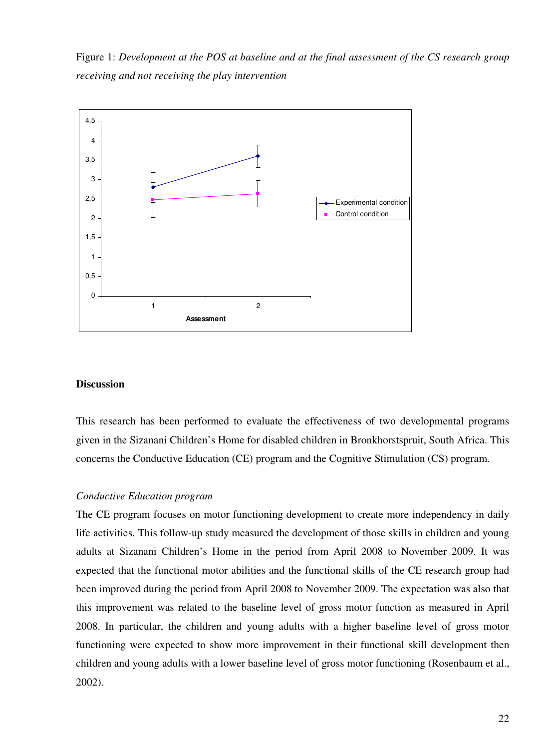Figure 1: *Development at the POS at baseline and at the final assessment of the CS research group receiving and not receiving the play intervention* 



#### **Discussion**

This research has been performed to evaluate the effectiveness of two developmental programs given in the Sizanani Children's Home for disabled children in Bronkhorstspruit, South Africa. This concerns the Conductive Education (CE) program and the Cognitive Stimulation (CS) program.

#### *Conductive Education program*

The CE program focuses on motor functioning development to create more independency in daily life activities. This follow-up study measured the development of those skills in children and young adults at Sizanani Children's Home in the period from April 2008 to November 2009. It was expected that the functional motor abilities and the functional skills of the CE research group had been improved during the period from April 2008 to November 2009. The expectation was also that this improvement was related to the baseline level of gross motor function as measured in April 2008. In particular, the children and young adults with a higher baseline level of gross motor functioning were expected to show more improvement in their functional skill development then children and young adults with a lower baseline level of gross motor functioning (Rosenbaum et al., 2002).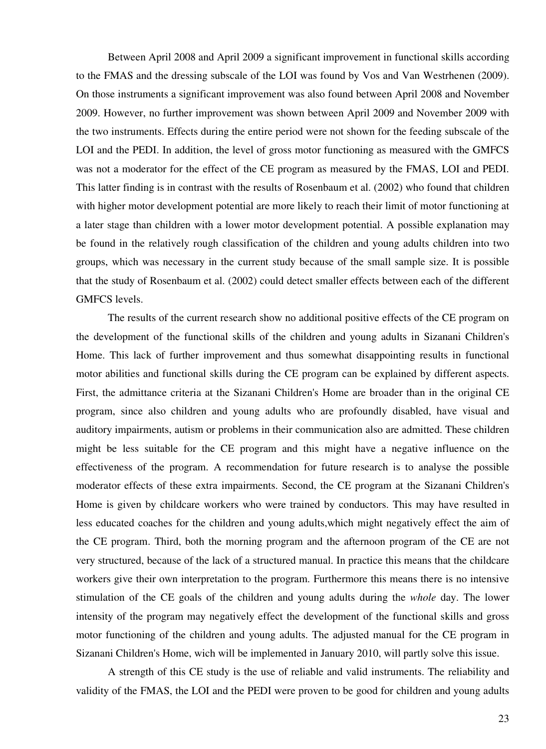Between April 2008 and April 2009 a significant improvement in functional skills according to the FMAS and the dressing subscale of the LOI was found by Vos and Van Westrhenen (2009). On those instruments a significant improvement was also found between April 2008 and November 2009. However, no further improvement was shown between April 2009 and November 2009 with the two instruments. Effects during the entire period were not shown for the feeding subscale of the LOI and the PEDI. In addition, the level of gross motor functioning as measured with the GMFCS was not a moderator for the effect of the CE program as measured by the FMAS, LOI and PEDI. This latter finding is in contrast with the results of Rosenbaum et al. (2002) who found that children with higher motor development potential are more likely to reach their limit of motor functioning at a later stage than children with a lower motor development potential. A possible explanation may be found in the relatively rough classification of the children and young adults children into two groups, which was necessary in the current study because of the small sample size. It is possible that the study of Rosenbaum et al. (2002) could detect smaller effects between each of the different GMFCS levels.

The results of the current research show no additional positive effects of the CE program on the development of the functional skills of the children and young adults in Sizanani Children's Home. This lack of further improvement and thus somewhat disappointing results in functional motor abilities and functional skills during the CE program can be explained by different aspects. First, the admittance criteria at the Sizanani Children's Home are broader than in the original CE program, since also children and young adults who are profoundly disabled, have visual and auditory impairments, autism or problems in their communication also are admitted. These children might be less suitable for the CE program and this might have a negative influence on the effectiveness of the program. A recommendation for future research is to analyse the possible moderator effects of these extra impairments. Second, the CE program at the Sizanani Children's Home is given by childcare workers who were trained by conductors. This may have resulted in less educated coaches for the children and young adults,which might negatively effect the aim of the CE program. Third, both the morning program and the afternoon program of the CE are not very structured, because of the lack of a structured manual. In practice this means that the childcare workers give their own interpretation to the program. Furthermore this means there is no intensive stimulation of the CE goals of the children and young adults during the *whole* day. The lower intensity of the program may negatively effect the development of the functional skills and gross motor functioning of the children and young adults. The adjusted manual for the CE program in Sizanani Children's Home, wich will be implemented in January 2010, will partly solve this issue.

A strength of this CE study is the use of reliable and valid instruments. The reliability and validity of the FMAS, the LOI and the PEDI were proven to be good for children and young adults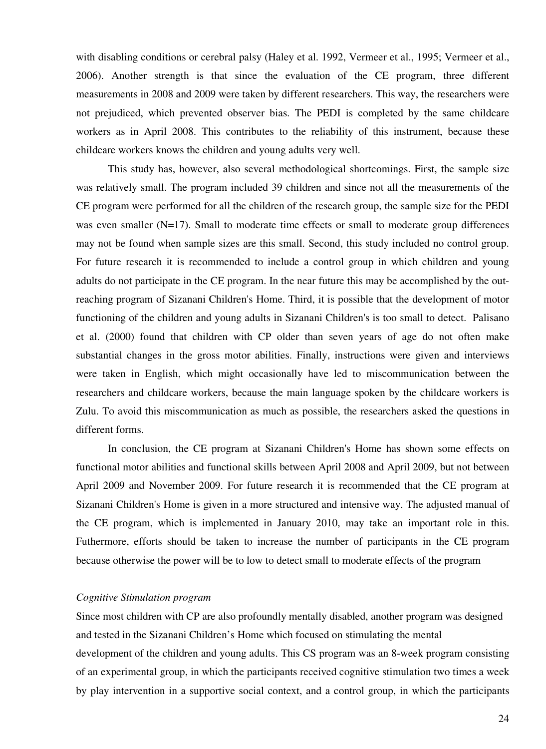with disabling conditions or cerebral palsy (Haley et al. 1992, Vermeer et al., 1995; Vermeer et al., 2006). Another strength is that since the evaluation of the CE program, three different measurements in 2008 and 2009 were taken by different researchers. This way, the researchers were not prejudiced, which prevented observer bias. The PEDI is completed by the same childcare workers as in April 2008. This contributes to the reliability of this instrument, because these childcare workers knows the children and young adults very well.

This study has, however, also several methodological shortcomings. First, the sample size was relatively small. The program included 39 children and since not all the measurements of the CE program were performed for all the children of the research group, the sample size for the PEDI was even smaller (N=17). Small to moderate time effects or small to moderate group differences may not be found when sample sizes are this small. Second, this study included no control group. For future research it is recommended to include a control group in which children and young adults do not participate in the CE program. In the near future this may be accomplished by the outreaching program of Sizanani Children's Home. Third, it is possible that the development of motor functioning of the children and young adults in Sizanani Children's is too small to detect. Palisano et al. (2000) found that children with CP older than seven years of age do not often make substantial changes in the gross motor abilities. Finally, instructions were given and interviews were taken in English, which might occasionally have led to miscommunication between the researchers and childcare workers, because the main language spoken by the childcare workers is Zulu. To avoid this miscommunication as much as possible, the researchers asked the questions in different forms.

In conclusion, the CE program at Sizanani Children's Home has shown some effects on functional motor abilities and functional skills between April 2008 and April 2009, but not between April 2009 and November 2009. For future research it is recommended that the CE program at Sizanani Children's Home is given in a more structured and intensive way. The adjusted manual of the CE program, which is implemented in January 2010, may take an important role in this. Futhermore, efforts should be taken to increase the number of participants in the CE program because otherwise the power will be to low to detect small to moderate effects of the program

#### *Cognitive Stimulation program*

Since most children with CP are also profoundly mentally disabled, another program was designed and tested in the Sizanani Children's Home which focused on stimulating the mental development of the children and young adults. This CS program was an 8-week program consisting of an experimental group, in which the participants received cognitive stimulation two times a week by play intervention in a supportive social context, and a control group, in which the participants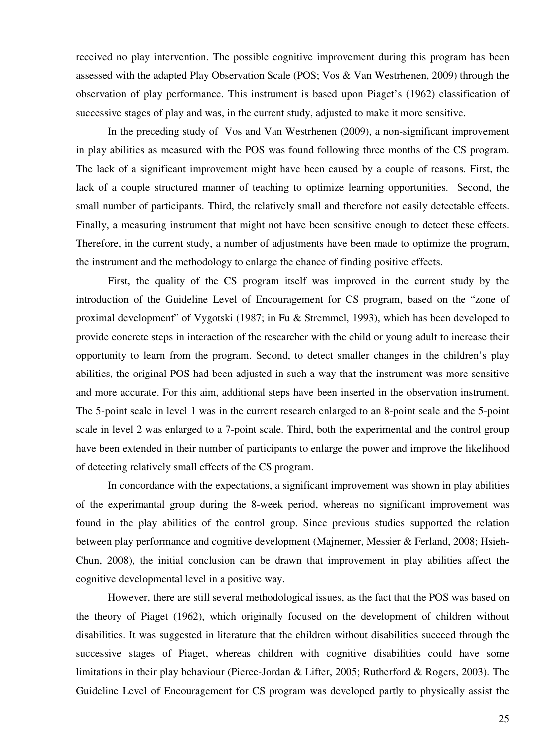received no play intervention. The possible cognitive improvement during this program has been assessed with the adapted Play Observation Scale (POS; Vos & Van Westrhenen, 2009) through the observation of play performance. This instrument is based upon Piaget's (1962) classification of successive stages of play and was, in the current study, adjusted to make it more sensitive.

 In the preceding study of Vos and Van Westrhenen (2009), a non-significant improvement in play abilities as measured with the POS was found following three months of the CS program. The lack of a significant improvement might have been caused by a couple of reasons. First, the lack of a couple structured manner of teaching to optimize learning opportunities. Second, the small number of participants. Third, the relatively small and therefore not easily detectable effects. Finally, a measuring instrument that might not have been sensitive enough to detect these effects. Therefore, in the current study, a number of adjustments have been made to optimize the program, the instrument and the methodology to enlarge the chance of finding positive effects.

First, the quality of the CS program itself was improved in the current study by the introduction of the Guideline Level of Encouragement for CS program, based on the "zone of proximal development" of Vygotski (1987; in Fu & Stremmel, 1993), which has been developed to provide concrete steps in interaction of the researcher with the child or young adult to increase their opportunity to learn from the program. Second, to detect smaller changes in the children's play abilities, the original POS had been adjusted in such a way that the instrument was more sensitive and more accurate. For this aim, additional steps have been inserted in the observation instrument. The 5-point scale in level 1 was in the current research enlarged to an 8-point scale and the 5-point scale in level 2 was enlarged to a 7-point scale. Third, both the experimental and the control group have been extended in their number of participants to enlarge the power and improve the likelihood of detecting relatively small effects of the CS program.

In concordance with the expectations, a significant improvement was shown in play abilities of the experimantal group during the 8-week period, whereas no significant improvement was found in the play abilities of the control group. Since previous studies supported the relation between play performance and cognitive development (Majnemer, Messier & Ferland, 2008; Hsieh-Chun, 2008), the initial conclusion can be drawn that improvement in play abilities affect the cognitive developmental level in a positive way.

However, there are still several methodological issues, as the fact that the POS was based on the theory of Piaget (1962), which originally focused on the development of children without disabilities. It was suggested in literature that the children without disabilities succeed through the successive stages of Piaget, whereas children with cognitive disabilities could have some limitations in their play behaviour (Pierce-Jordan & Lifter, 2005; Rutherford & Rogers, 2003). The Guideline Level of Encouragement for CS program was developed partly to physically assist the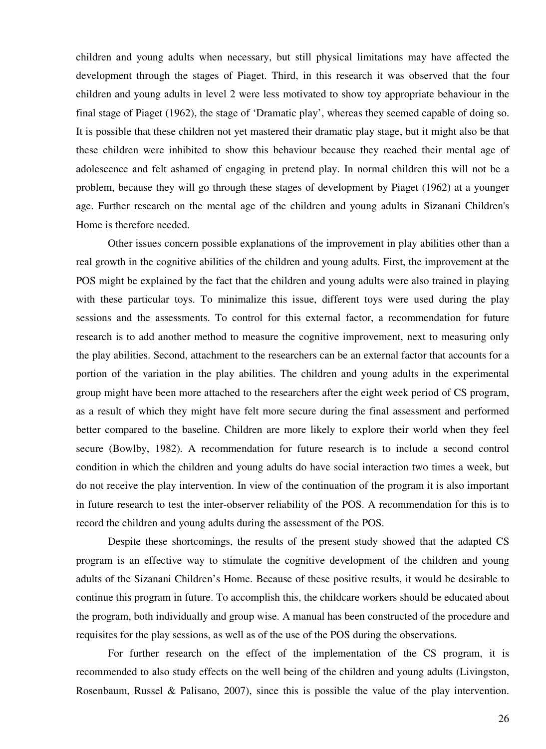children and young adults when necessary, but still physical limitations may have affected the development through the stages of Piaget. Third, in this research it was observed that the four children and young adults in level 2 were less motivated to show toy appropriate behaviour in the final stage of Piaget (1962), the stage of 'Dramatic play', whereas they seemed capable of doing so. It is possible that these children not yet mastered their dramatic play stage, but it might also be that these children were inhibited to show this behaviour because they reached their mental age of adolescence and felt ashamed of engaging in pretend play. In normal children this will not be a problem, because they will go through these stages of development by Piaget (1962) at a younger age. Further research on the mental age of the children and young adults in Sizanani Children's Home is therefore needed.

 Other issues concern possible explanations of the improvement in play abilities other than a real growth in the cognitive abilities of the children and young adults. First, the improvement at the POS might be explained by the fact that the children and young adults were also trained in playing with these particular toys. To minimalize this issue, different toys were used during the play sessions and the assessments. To control for this external factor, a recommendation for future research is to add another method to measure the cognitive improvement, next to measuring only the play abilities. Second, attachment to the researchers can be an external factor that accounts for a portion of the variation in the play abilities. The children and young adults in the experimental group might have been more attached to the researchers after the eight week period of CS program, as a result of which they might have felt more secure during the final assessment and performed better compared to the baseline. Children are more likely to explore their world when they feel secure (Bowlby, 1982). A recommendation for future research is to include a second control condition in which the children and young adults do have social interaction two times a week, but do not receive the play intervention. In view of the continuation of the program it is also important in future research to test the inter-observer reliability of the POS. A recommendation for this is to record the children and young adults during the assessment of the POS.

 Despite these shortcomings, the results of the present study showed that the adapted CS program is an effective way to stimulate the cognitive development of the children and young adults of the Sizanani Children's Home. Because of these positive results, it would be desirable to continue this program in future. To accomplish this, the childcare workers should be educated about the program, both individually and group wise. A manual has been constructed of the procedure and requisites for the play sessions, as well as of the use of the POS during the observations.

For further research on the effect of the implementation of the CS program, it is recommended to also study effects on the well being of the children and young adults (Livingston, Rosenbaum, Russel & Palisano, 2007), since this is possible the value of the play intervention.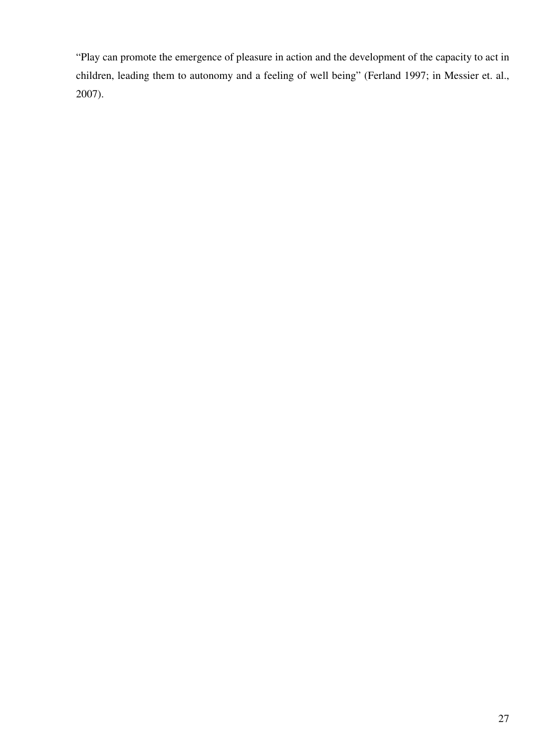"Play can promote the emergence of pleasure in action and the development of the capacity to act in children, leading them to autonomy and a feeling of well being" (Ferland 1997; in Messier et. al., 2007).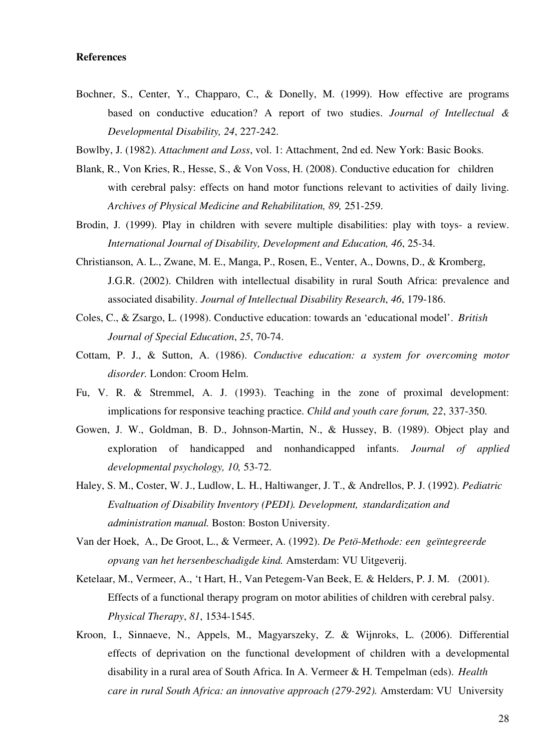#### **References**

Bochner, S., Center, Y., Chapparo, C., & Donelly, M. (1999). How effective are programs based on conductive education? A report of two studies. *Journal of Intellectual & Developmental Disability, 24*, 227-242.

Bowlby, J. (1982). *Attachment and Loss*, vol. 1: Attachment, 2nd ed. New York: Basic Books.

- Blank, R., Von Kries, R., Hesse, S., & Von Voss, H. (2008). Conductive education for children with cerebral palsy: effects on hand motor functions relevant to activities of daily living. *Archives of Physical Medicine and Rehabilitation, 89,* 251-259.
- Brodin, J. (1999). Play in children with severe multiple disabilities: play with toys- a review. *International Journal of Disability, Development and Education, 46*, 25-34.
- Christianson, A. L., Zwane, M. E., Manga, P., Rosen, E., Venter, A., Downs, D., & Kromberg, J.G.R. (2002). Children with intellectual disability in rural South Africa: prevalence and associated disability. *Journal of Intellectual Disability Research*, *46*, 179-186.
- Coles, C., & Zsargo, L. (1998). Conductive education: towards an 'educational model'. *British Journal of Special Education*, *25*, 70-74.
- Cottam, P. J., & Sutton, A. (1986). *Conductive education: a system for overcoming motor disorder.* London: Croom Helm.
- Fu, V. R. & Stremmel, A. J. (1993). Teaching in the zone of proximal development: implications for responsive teaching practice. *Child and youth care forum, 22*, 337-350.
- Gowen, J. W., Goldman, B. D., Johnson-Martin, N., & Hussey, B. (1989). Object play and exploration of handicapped and nonhandicapped infants. *Journal of applied developmental psychology, 10,* 53-72.
- Haley, S. M., Coster, W. J., Ludlow, L. H., Haltiwanger, J. T., & Andrellos, P. J. (1992). *Pediatric Evaltuation of Disability Inventory (PEDI). Development, standardization and administration manual.* Boston: Boston University.
- Van der Hoek, A., De Groot, L., & Vermeer, A. (1992). *De Petö-Methode: een geïntegreerde opvang van het hersenbeschadigde kind.* Amsterdam: VU Uitgeverij.
- Ketelaar, M., Vermeer, A., 't Hart, H., Van Petegem-Van Beek, E. & Helders, P. J. M. (2001). Effects of a functional therapy program on motor abilities of children with cerebral palsy. *Physical Therapy*, *81*, 1534-1545.
- Kroon, I., Sinnaeve, N., Appels, M., Magyarszeky, Z. & Wijnroks, L. (2006). Differential effects of deprivation on the functional development of children with a developmental disability in a rural area of South Africa. In A. Vermeer & H. Tempelman (eds). *Health care in rural South Africa: an innovative approach (279-292).* Amsterdam: VU University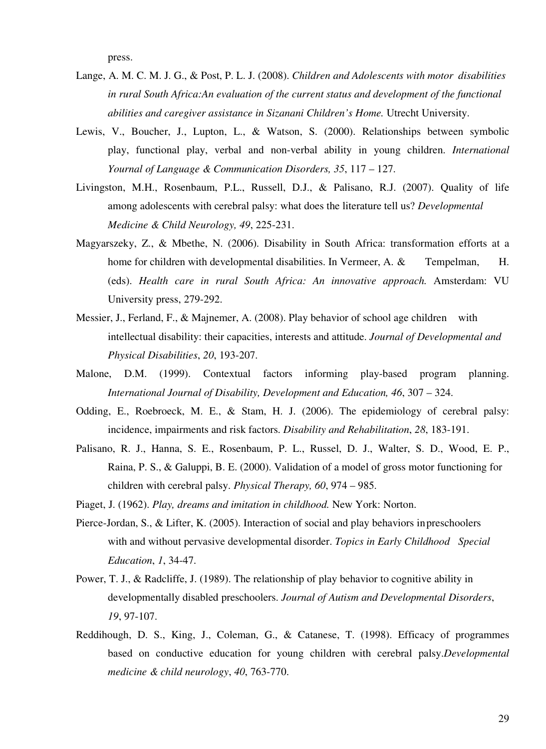press.

- Lange, A. M. C. M. J. G., & Post, P. L. J. (2008). *Children and Adolescents with motor disabilities in rural South Africa:An evaluation of the current status and development of the functional abilities and caregiver assistance in Sizanani Children's Home.* Utrecht University.
- Lewis, V., Boucher, J., Lupton, L., & Watson, S. (2000). Relationships between symbolic play, functional play, verbal and non-verbal ability in young children. *International Yournal of Language & Communication Disorders, 35*, 117 – 127.
- Livingston, M.H., Rosenbaum, P.L., Russell, D.J., & Palisano, R.J. (2007). Quality of life among adolescents with cerebral palsy: what does the literature tell us? *Developmental Medicine & Child Neurology, 49*, 225-231.
- Magyarszeky, Z., & Mbethe, N. (2006). Disability in South Africa: transformation efforts at a home for children with developmental disabilities. In Vermeer, A. & Tempelman, H. (eds). *Health care in rural South Africa: An innovative approach.* Amsterdam: VU University press, 279-292.
- Messier, J., Ferland, F., & Majnemer, A. (2008). Play behavior of school age children with intellectual disability: their capacities, interests and attitude. *Journal of Developmental and Physical Disabilities*, *20*, 193-207.
- Malone, D.M. (1999). Contextual factors informing play-based program planning. *International Journal of Disability, Development and Education, 46*, 307 – 324.
- Odding, E., Roebroeck, M. E., & Stam, H. J. (2006). The epidemiology of cerebral palsy: incidence, impairments and risk factors. *Disability and Rehabilitation*, *28*, 183-191.
- Palisano, R. J., Hanna, S. E., Rosenbaum, P. L., Russel, D. J., Walter, S. D., Wood, E. P., Raina, P. S., & Galuppi, B. E. (2000). Validation of a model of gross motor functioning for children with cerebral palsy. *Physical Therapy, 60*, 974 – 985.
- Piaget, J. (1962). *Play, dreams and imitation in childhood.* New York: Norton.
- Pierce-Jordan, S., & Lifter, K. (2005). Interaction of social and play behaviors in preschoolers with and without pervasive developmental disorder. *Topics in Early Childhood Special Education*, *1*, 34-47.
- Power, T. J., & Radcliffe, J. (1989). The relationship of play behavior to cognitive ability in developmentally disabled preschoolers. *Journal of Autism and Developmental Disorders*, *19*, 97-107.
- Reddihough, D. S., King, J., Coleman, G., & Catanese, T. (1998). Efficacy of programmes based on conductive education for young children with cerebral palsy.*Developmental medicine & child neurology*, *40*, 763-770.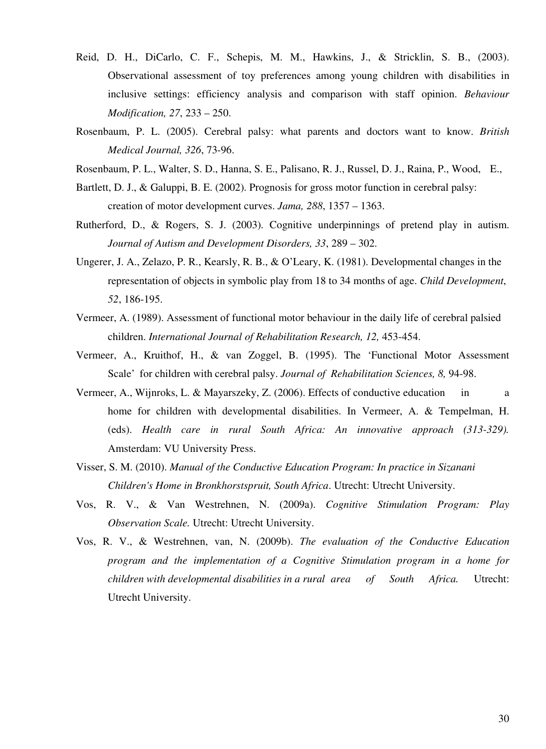- Reid, D. H., DiCarlo, C. F., Schepis, M. M., Hawkins, J., & Stricklin, S. B., (2003). Observational assessment of toy preferences among young children with disabilities in inclusive settings: efficiency analysis and comparison with staff opinion. *Behaviour Modification, 27*, 233 – 250.
- Rosenbaum, P. L. (2005). Cerebral palsy: what parents and doctors want to know. *British Medical Journal, 326*, 73-96.
- Rosenbaum, P. L., Walter, S. D., Hanna, S. E., Palisano, R. J., Russel, D. J., Raina, P., Wood, E.,
- Bartlett, D. J., & Galuppi, B. E. (2002). Prognosis for gross motor function in cerebral palsy: creation of motor development curves. *Jama, 288*, 1357 – 1363.
- Rutherford, D., & Rogers, S. J. (2003). Cognitive underpinnings of pretend play in autism. *Journal of Autism and Development Disorders, 33*, 289 – 302.
- Ungerer, J. A., Zelazo, P. R., Kearsly, R. B., & O'Leary, K. (1981). Developmental changes in the representation of objects in symbolic play from 18 to 34 months of age. *Child Development*, *52*, 186-195.
- Vermeer, A. (1989). Assessment of functional motor behaviour in the daily life of cerebral palsied children. *International Journal of Rehabilitation Research, 12,* 453-454.
- Vermeer, A., Kruithof, H., & van Zoggel, B. (1995). The 'Functional Motor Assessment Scale' for children with cerebral palsy. *Journal of Rehabilitation Sciences, 8,* 94-98.
- Vermeer, A., Wijnroks, L. & Mayarszeky, Z. (2006). Effects of conductive education in a home for children with developmental disabilities. In Vermeer, A. & Tempelman, H. (eds). *Health care in rural South Africa: An innovative approach (313-329).* Amsterdam: VU University Press.
- Visser, S. M. (2010). *Manual of the Conductive Education Program: In practice in Sizanani Children's Home in Bronkhorstspruit, South Africa*. Utrecht: Utrecht University.
- Vos, R. V., & Van Westrehnen, N. (2009a). *Cognitive Stimulation Program: Play Observation Scale.* Utrecht: Utrecht University.
- Vos, R. V., & Westrehnen, van, N. (2009b). *The evaluation of the Conductive Education program and the implementation of a Cognitive Stimulation program in a home for children with developmental disabilities in a rural area of South Africa.* Utrecht: Utrecht University.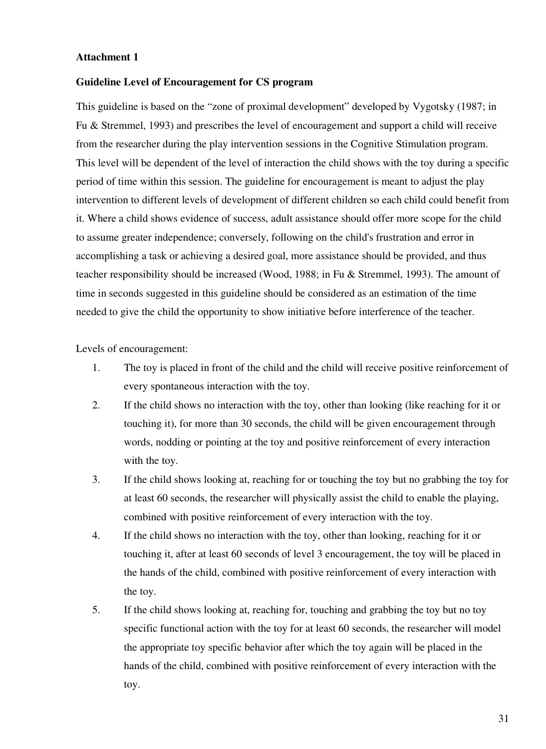#### **Attachment 1**

#### **Guideline Level of Encouragement for CS program**

This guideline is based on the "zone of proximal development" developed by Vygotsky (1987; in Fu & Stremmel, 1993) and prescribes the level of encouragement and support a child will receive from the researcher during the play intervention sessions in the Cognitive Stimulation program. This level will be dependent of the level of interaction the child shows with the toy during a specific period of time within this session. The guideline for encouragement is meant to adjust the play intervention to different levels of development of different children so each child could benefit from it. Where a child shows evidence of success, adult assistance should offer more scope for the child to assume greater independence; conversely, following on the child's frustration and error in accomplishing a task or achieving a desired goal, more assistance should be provided, and thus teacher responsibility should be increased (Wood, 1988; in Fu & Stremmel, 1993). The amount of time in seconds suggested in this guideline should be considered as an estimation of the time needed to give the child the opportunity to show initiative before interference of the teacher.

Levels of encouragement:

- 1. The toy is placed in front of the child and the child will receive positive reinforcement of every spontaneous interaction with the toy.
- 2. If the child shows no interaction with the toy, other than looking (like reaching for it or touching it), for more than 30 seconds, the child will be given encouragement through words, nodding or pointing at the toy and positive reinforcement of every interaction with the toy.
- 3. If the child shows looking at, reaching for or touching the toy but no grabbing the toy for at least 60 seconds, the researcher will physically assist the child to enable the playing, combined with positive reinforcement of every interaction with the toy.
- 4. If the child shows no interaction with the toy, other than looking, reaching for it or touching it, after at least 60 seconds of level 3 encouragement, the toy will be placed in the hands of the child, combined with positive reinforcement of every interaction with the toy.
- 5. If the child shows looking at, reaching for, touching and grabbing the toy but no toy specific functional action with the toy for at least 60 seconds, the researcher will model the appropriate toy specific behavior after which the toy again will be placed in the hands of the child, combined with positive reinforcement of every interaction with the toy.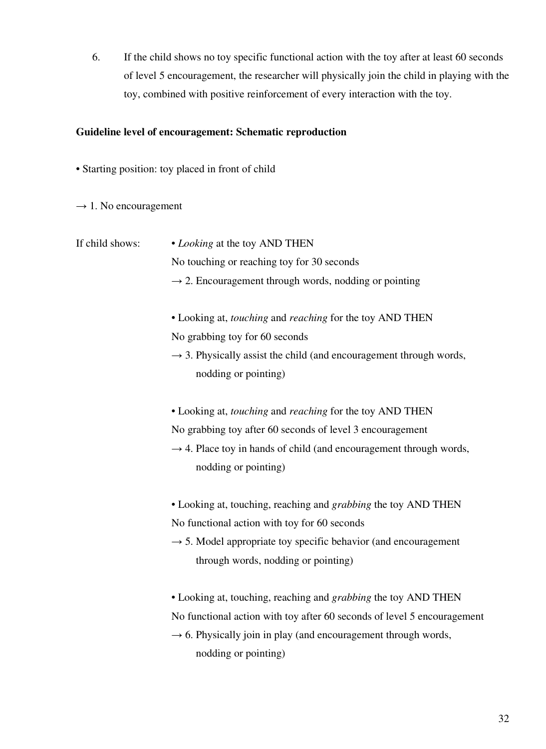6. If the child shows no toy specific functional action with the toy after at least 60 seconds of level 5 encouragement, the researcher will physically join the child in playing with the toy, combined with positive reinforcement of every interaction with the toy.

#### **Guideline level of encouragement: Schematic reproduction**

- Starting position: toy placed in front of child
- $\rightarrow$  1. No encouragement
- If child shows: *Looking* at the toy AND THEN No touching or reaching toy for 30 seconds  $\rightarrow$  2. Encouragement through words, nodding or pointing • Looking at, *touching* and *reaching* for the toy AND THEN No grabbing toy for 60 seconds  $\rightarrow$  3. Physically assist the child (and encouragement through words, nodding or pointing) • Looking at, *touching* and *reaching* for the toy AND THEN No grabbing toy after 60 seconds of level 3 encouragement  $\rightarrow$  4. Place toy in hands of child (and encouragement through words, nodding or pointing) • Looking at, touching, reaching and *grabbing* the toy AND THEN No functional action with toy for 60 seconds  $\rightarrow$  5. Model appropriate toy specific behavior (and encouragement through words, nodding or pointing) • Looking at, touching, reaching and *grabbing* the toy AND THEN No functional action with toy after 60 seconds of level 5 encouragement  $\rightarrow$  6. Physically join in play (and encouragement through words, nodding or pointing)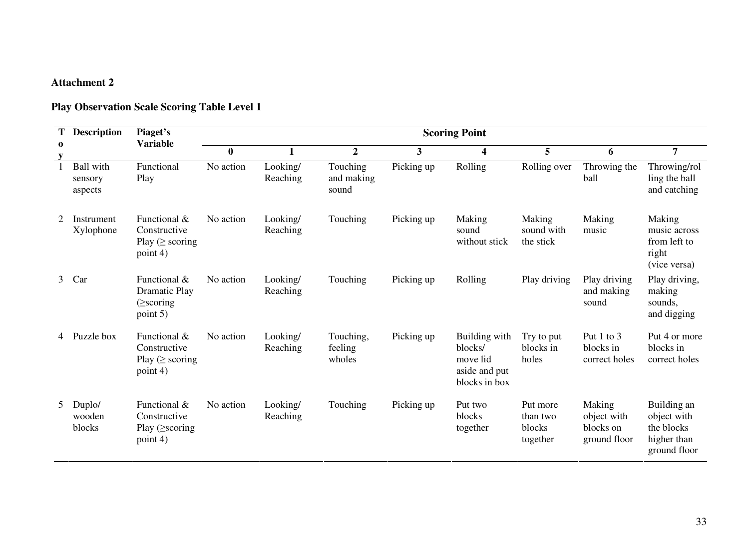# **Attachment 2**

# **Play Observation Scale Scoring Table Level 1**

| Т        | <b>Description</b>              | Piaget's<br><b>Variable</b>                                              |           |                      |                                 |              | <b>Scoring Point</b>                                                   |                                            |                                                    |                                                                         |
|----------|---------------------------------|--------------------------------------------------------------------------|-----------|----------------------|---------------------------------|--------------|------------------------------------------------------------------------|--------------------------------------------|----------------------------------------------------|-------------------------------------------------------------------------|
| $\bf{0}$ |                                 |                                                                          | $\bf{0}$  |                      | $\boldsymbol{2}$                | $\mathbf{3}$ | $\overline{\mathbf{4}}$                                                | 5                                          | 6                                                  | 7                                                                       |
|          | Ball with<br>sensory<br>aspects | Functional<br>Play                                                       | No action | Looking/<br>Reaching | Touching<br>and making<br>sound | Picking up   | Rolling                                                                | Rolling over                               | Throwing the<br>ball                               | Throwing/rol<br>ling the ball<br>and catching                           |
| 2        | Instrument<br>Xylophone         | Functional &<br>Constructive<br>Play ( $\geq$ scoring<br>point 4)        | No action | Looking/<br>Reaching | Touching                        | Picking up   | Making<br>sound<br>without stick                                       | Making<br>sound with<br>the stick          | Making<br>music                                    | Making<br>music across<br>from left to<br>right<br>(vice versa)         |
| 3        | Car                             | Functional &<br><b>Dramatic Play</b><br>$\left(\geq$ scoring<br>point 5) | No action | Looking/<br>Reaching | Touching                        | Picking up   | Rolling                                                                | Play driving                               | Play driving<br>and making<br>sound                | Play driving,<br>making<br>sounds,<br>and digging                       |
|          | Puzzle box                      | Functional &<br>Constructive<br>Play ( $\geq$ scoring<br>point 4)        | No action | Looking/<br>Reaching | Touching,<br>feeling<br>wholes  | Picking up   | Building with<br>blocks/<br>move lid<br>aside and put<br>blocks in box | Try to put<br>blocks in<br>holes           | Put 1 to 3<br>blocks in<br>correct holes           | Put 4 or more<br>blocks in<br>correct holes                             |
| 5        | Duplo/<br>wooden<br>blocks      | Functional &<br>Constructive<br>Play $($ scoring<br>point 4)             | No action | Looking/<br>Reaching | Touching                        | Picking up   | Put two<br>blocks<br>together                                          | Put more<br>than two<br>blocks<br>together | Making<br>object with<br>blocks on<br>ground floor | Building an<br>object with<br>the blocks<br>higher than<br>ground floor |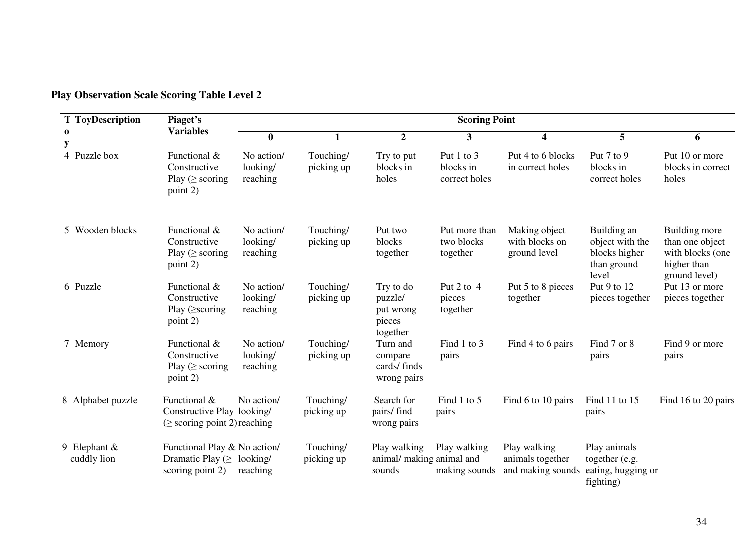| <b>T</b> ToyDescription       | Piaget's                                                                             |                                    |                         |                                                         | <b>Scoring Point</b>                     |                                                       |                                                                         |                                                                                      |
|-------------------------------|--------------------------------------------------------------------------------------|------------------------------------|-------------------------|---------------------------------------------------------|------------------------------------------|-------------------------------------------------------|-------------------------------------------------------------------------|--------------------------------------------------------------------------------------|
| $\bf{0}$<br>y                 | <b>Variables</b>                                                                     | $\bf{0}$                           |                         | $\overline{2}$                                          | 3                                        | 4                                                     | 5                                                                       | 6                                                                                    |
| 4 Puzzle box                  | Functional &<br>Constructive<br>Play ( $\geq$ scoring<br>point 2)                    | No action/<br>looking/<br>reaching | Touching/<br>picking up | Try to put<br>blocks in<br>holes                        | Put 1 to 3<br>blocks in<br>correct holes | Put 4 to 6 blocks<br>in correct holes                 | Put 7 to 9<br>blocks in<br>correct holes                                | Put 10 or more<br>blocks in correct<br>holes                                         |
| 5 Wooden blocks               | Functional &<br>Constructive<br>Play ( $\ge$ scoring<br>point 2)                     | No action/<br>looking/<br>reaching | Touching/<br>picking up | Put two<br>blocks<br>together                           | Put more than<br>two blocks<br>together  | Making object<br>with blocks on<br>ground level       | Building an<br>object with the<br>blocks higher<br>than ground<br>level | Building more<br>than one object<br>with blocks (one<br>higher than<br>ground level) |
| 6 Puzzle                      | Functional &<br>Constructive<br>Play $($ scoring<br>point 2)                         | No action/<br>looking/<br>reaching | Touching/<br>picking up | Try to do<br>puzzle/<br>put wrong<br>pieces<br>together | Put 2 to 4<br>pieces<br>together         | Put 5 to 8 pieces<br>together                         | Put 9 to 12<br>pieces together                                          | Put 13 or more<br>pieces together                                                    |
| 7 Memory                      | Functional &<br>Constructive<br>Play ( $\geq$ scoring<br>point 2)                    | No action/<br>looking/<br>reaching | Touching/<br>picking up | Turn and<br>compare<br>cards/finds<br>wrong pairs       | Find 1 to 3<br>pairs                     | Find 4 to 6 pairs                                     | Find 7 or 8<br>pairs                                                    | Find 9 or more<br>pairs                                                              |
| 8 Alphabet puzzle             | Functional &<br>Constructive Play looking/<br>$(\geq$ scoring point 2) reaching      | No action/                         | Touching/<br>picking up | Search for<br>pairs/ find<br>wrong pairs                | Find 1 to 5<br>pairs                     | Find 6 to 10 pairs                                    | Find 11 to 15<br>pairs                                                  | Find 16 to 20 pairs                                                                  |
| 9 Elephant $&$<br>cuddly lion | Functional Play & No action/<br>Dramatic Play $(\geq 1)$ ooking/<br>scoring point 2) | reaching                           | Touching/<br>picking up | Play walking<br>animal/ making animal and<br>sounds     | Play walking<br>making sounds            | Play walking<br>animals together<br>and making sounds | Play animals<br>together (e.g.<br>eating, hugging or<br>fighting)       |                                                                                      |

## **Play Observation Scale Scoring Table Level 2**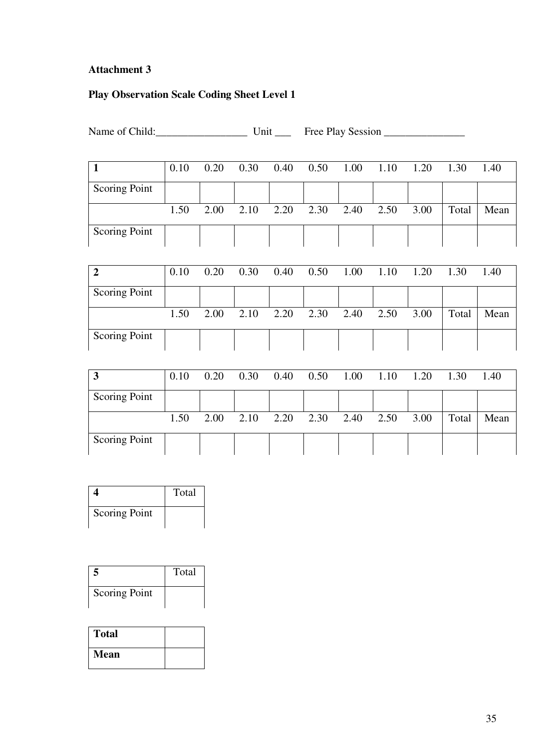# **Attachment 3**

# **Play Observation Scale Coding Sheet Level 1**

Name of Child:\_\_\_\_\_\_\_\_\_\_\_\_\_\_\_\_\_ Unit \_\_\_ Free Play Session \_\_\_\_\_\_\_\_\_\_\_\_\_\_\_

|                      | 0.10 | 0.20 | 0.30 | 0.40 | 0.50 | 1.00 | 1.10 | 1.20 | 1.30  | 1.40 |
|----------------------|------|------|------|------|------|------|------|------|-------|------|
| Scoring Point        |      |      |      |      |      |      |      |      |       |      |
|                      | 1.50 | 2.00 | 2.10 | 2.20 | 2.30 | 2.40 | 2.50 | 3.00 | Total | Mean |
| <b>Scoring Point</b> |      |      |      |      |      |      |      |      |       |      |

|               | 0.10 | 0.20 | 0.30 | 0.40 | 0.50 | 1.00 | 1.10 | 1.20 | 1.30  | 1.40 |
|---------------|------|------|------|------|------|------|------|------|-------|------|
| Scoring Point |      |      |      |      |      |      |      |      |       |      |
|               | 1.50 | 2.00 | 2.10 | 2.20 | 2.30 | 2.40 | 2.50 | 3.00 | Total | Mean |
|               |      |      |      |      |      |      |      |      |       |      |

| 3             | 0.10 | 0.20 | 0.30 | 0.40 | 0.50 | 1.00 | 1.10 | 1.20 | 1.30  | 1.40 |
|---------------|------|------|------|------|------|------|------|------|-------|------|
| Scoring Point |      |      |      |      |      |      |      |      |       |      |
|               | 1.50 | 2.00 | 2.10 | 2.20 | 2.30 | 2.40 | 2.50 | 3.00 | Total | Mean |
| Scoring Point |      |      |      |      |      |      |      |      |       |      |

|                      | Total |
|----------------------|-------|
| <b>Scoring Point</b> |       |

| 5                    | Total |
|----------------------|-------|
| <b>Scoring Point</b> |       |

| <b>Total</b> |  |
|--------------|--|
| Mean         |  |